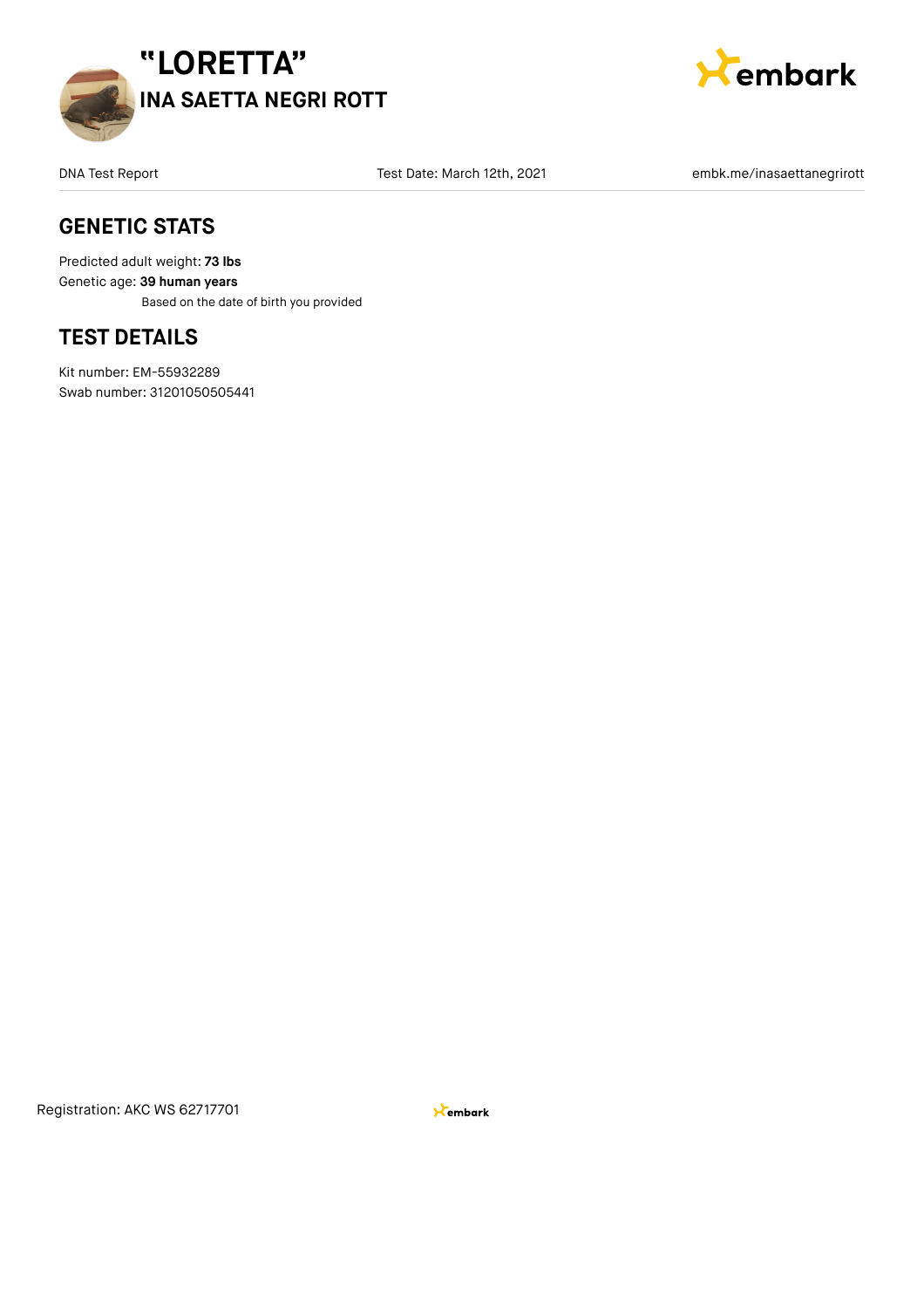



DNA Test Date: March 12th, 2021 **embk.me/inasaettanegrirott** Test Date: March 12th, 2021

### **GENETIC STATS**

Predicted adult weight: **73 lbs** Genetic age: **39 human years** Based on the date of birth you provided

### **TEST DETAILS**

Kit number: EM-55932289 Swab number: 31201050505441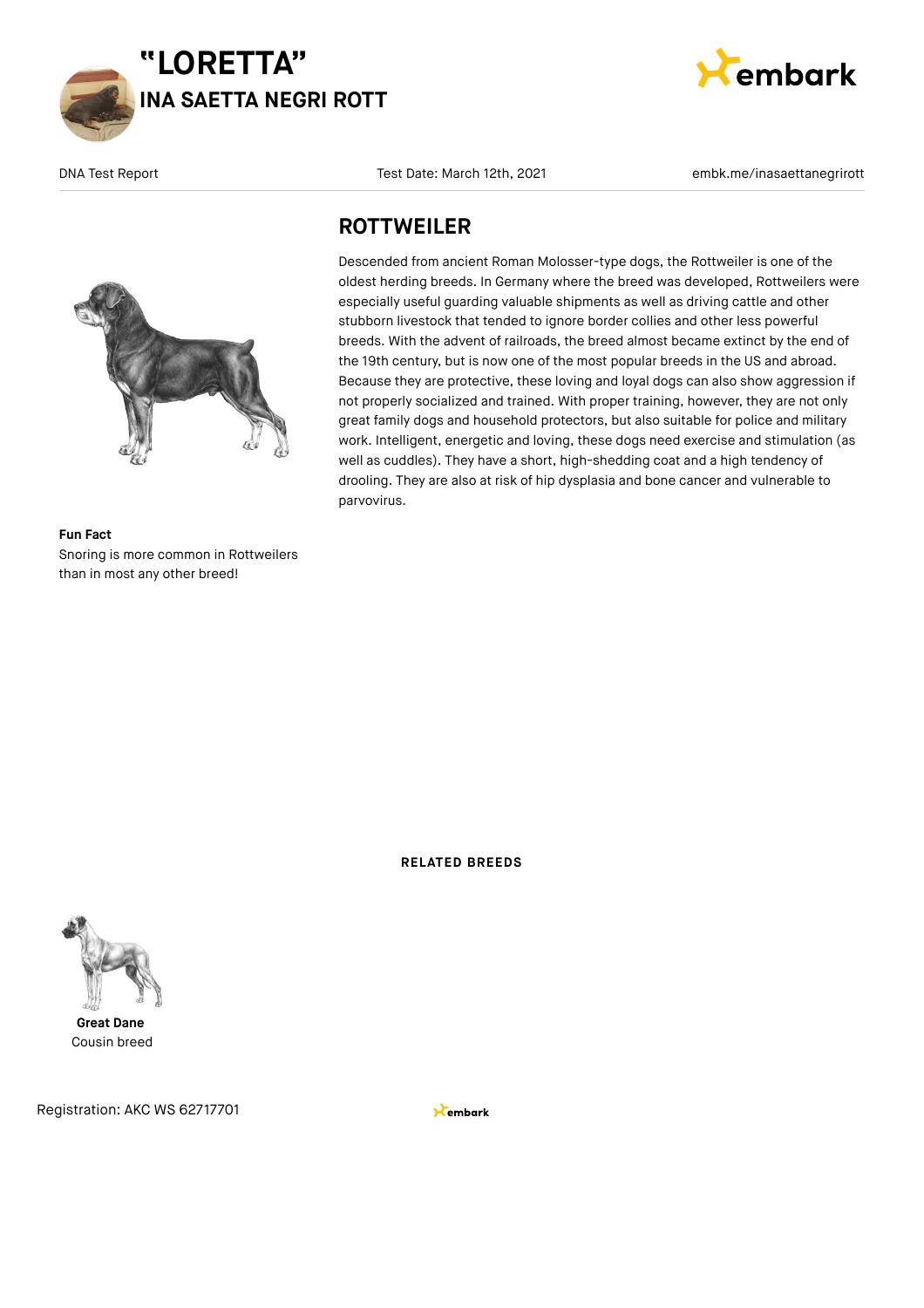



**Fun Fact** Snoring is more common in Rottweilers than in most any other breed!

DNA Test Report Test Date: March 12th, 2021 **embk.me/inasaettanegrirott** embk.me/inasaettanegrirott

### **ROTTWEILER**

Descended from ancient Roman Molosser-type dogs, the Rottweiler is one of the oldest herding breeds. In Germany where the breed was developed, Rottweilers were especially useful guarding valuable shipments as well as driving cattle and other stubborn livestock that tended to ignore border collies and other less powerful breeds. With the advent of railroads, the breed almost became extinct by the end of the 19th century, but is now one of the most popular breeds in the US and abroad. Because they are protective, these loving and loyal dogs can also show aggression if not properly socialized and trained. With proper training, however, they are not only great family dogs and household protectors, but also suitable for police and military work. Intelligent, energetic and loving, these dogs need exercise and stimulation (as well as cuddles). They have a short, high-shedding coat and a high tendency of drooling. They are also at risk of hip dysplasia and bone cancer and vulnerable to parvovirus.

**RELATED BREEDS**



**Great Dane** Cousin breed

Registration: AKC WS 62717701

**X**embark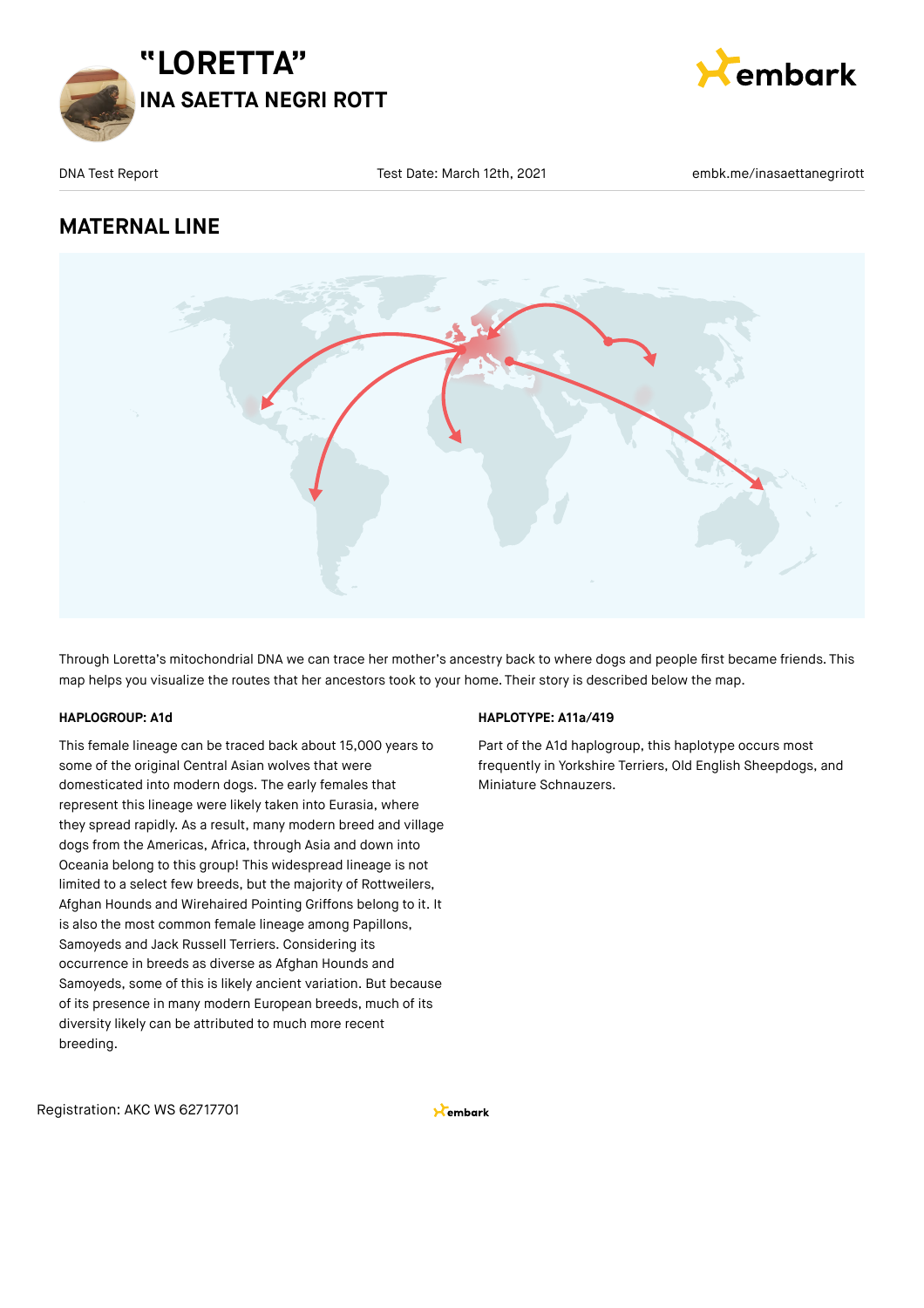



### **MATERNAL LINE**



Through Loretta's mitochondrial DNA we can trace her mother's ancestry back to where dogs and people first became friends. This map helps you visualize the routes that her ancestors took to your home. Their story is described below the map.

#### **HAPLOGROUP: A1d**

This female lineage can be traced back about 15,000 years to some of the original Central Asian wolves that were domesticated into modern dogs. The early females that represent this lineage were likely taken into Eurasia, where they spread rapidly. As a result, many modern breed and village dogs from the Americas, Africa, through Asia and down into Oceania belong to this group! This widespread lineage is not limited to a select few breeds, but the majority of Rottweilers, Afghan Hounds and Wirehaired Pointing Griffons belong to it. It is also the most common female lineage among Papillons, Samoyeds and Jack Russell Terriers. Considering its occurrence in breeds as diverse as Afghan Hounds and Samoyeds, some of this is likely ancient variation. But because of its presence in many modern European breeds, much of its diversity likely can be attributed to much more recent breeding.

#### **HAPLOTYPE: A11a/419**

Part of the A1d haplogroup, this haplotype occurs most frequently in Yorkshire Terriers, Old English Sheepdogs, and Miniature Schnauzers.

Registration: AKC WS 62717701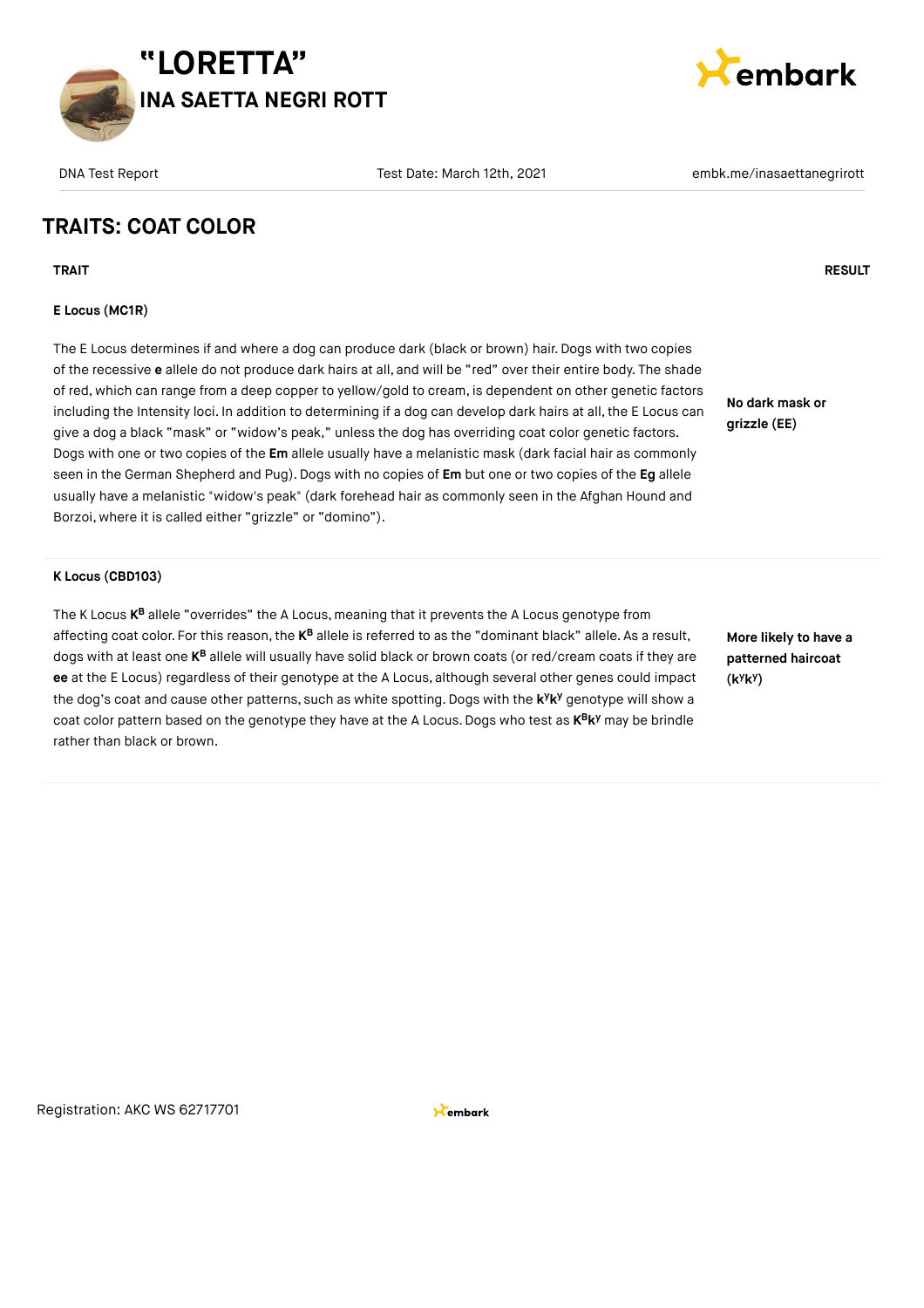



**Cembark** 

### **TRAITS: COAT COLOR**

**TRAIT RESULT**

#### **E Locus (MC1R)**

The E Locus determines if and where a dog can produce dark (black or brown) hair. Dogs with two copies of the recessive **e** allele do not produce dark hairs at all, and will be "red" over their entire body. The shade of red, which can range from a deep copper to yellow/gold to cream, is dependent on other genetic factors including the Intensity loci. In addition to determining if a dog can develop dark hairs at all, the E Locus can give a dog a black "mask" or "widow's peak," unless the dog has overriding coat color genetic factors. Dogs with one or two copies of the **Em** allele usually have a melanistic mask (dark facial hair as commonly seen in the German Shepherd and Pug). Dogs with no copies of **Em** but one or two copies of the **Eg** allele usually have a melanistic "widow's peak" (dark forehead hair as commonly seen in the Afghan Hound and Borzoi, where it is called either "grizzle" or "domino").

**No dark mask or grizzle (EE)**

**K Locus (CBD103)**

The K Locus **K<sup>B</sup> allele "**overrides" the A Locus, meaning that it prevents the A Locus genotype from affecting coat color. For this reason, the **K<sup>B</sup>** allele is referred to as the "dominant black" allele. As a result, dogs with at least one **K<sup>B</sup>** allele will usually have solid black or brown coats (or red/cream coats if they are **ee** at the E Locus) regardless of their genotype at the A Locus, although several other genes could impact the dog's coat and cause other patterns, such as white spotting. Dogs with the k<sup>y</sup>k<sup>y</sup> genotype will show a coat color pattern based on the genotype they have at the A Locus. Dogs who test as  $\mathsf{K}^\mathsf{B} \mathsf{K}^\mathsf{y}$  may be brindle rather than black or brown.

**More likely to have a patterned haircoat (k k ) y y**

Registration: AKC WS 62717701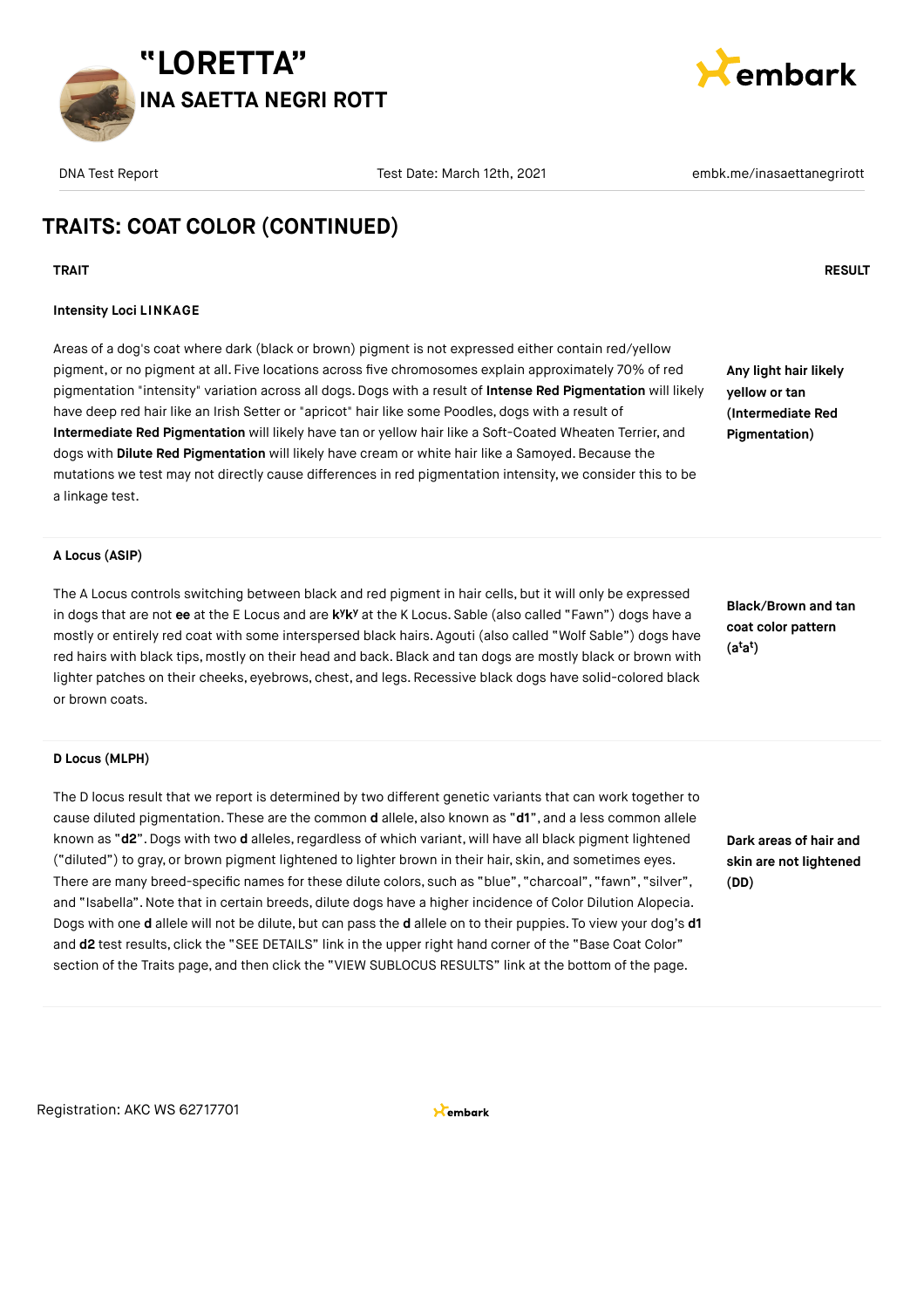



**Any light hair likely yellow or tan (Intermediate Red Pigmentation)**

## **TRAITS: COAT COLOR (CONTINUED)**

#### **TRAIT RESULT**

#### **Intensity Loci LINKAGE**

Areas of a dog's coat where dark (black or brown) pigment is not expressed either contain red/yellow pigment, or no pigment at all. Five locations across five chromosomes explain approximately 70% of red pigmentation "intensity" variation across all dogs. Dogs with a result of **Intense Red Pigmentation** will likely have deep red hair like an Irish Setter or "apricot" hair like some Poodles, dogs with a result of **Intermediate Red Pigmentation** will likely have tan or yellow hair like a Soft-Coated Wheaten Terrier, and dogs with **Dilute Red Pigmentation** will likely have cream or white hair like a Samoyed. Because the mutations we test may not directly cause differences in red pigmentation intensity, we consider this to be a linkage test.

#### **A Locus (ASIP)**

The A Locus controls switching between black and red pigment in hair cells, but it will only be expressed in dogs that are not **ee** at the E Locus and are **k**Y**k**<sup>y</sup> at the K Locus. Sable (also called "Fawn") dogs have a mostly or entirely red coat with some interspersed black hairs. Agouti (also called "Wolf Sable") dogs have red hairs with black tips, mostly on their head and back. Black and tan dogs are mostly black or brown with lighter patches on their cheeks, eyebrows, chest, and legs. Recessive black dogs have solid-colored black or brown coats.

**Black/Brown and tan coat color pattern (a a ) t t**

#### **D Locus (MLPH)**

The D locus result that we report is determined by two different genetic variants that can work together to cause diluted pigmentation. These are the common **d** allele, also known as "**d1**", and a less common allele known as "d2". Dogs with two d alleles, regardless of which variant, will have all black pigment lightened ("diluted") to gray, or brown pigment lightened to lighter brown in their hair, skin, and sometimes eyes. There are many breed-specific names for these dilute colors, such as "blue", "charcoal", "fawn", "silver", and "Isabella".Note that in certain breeds, dilute dogs have a higher incidence of Color Dilution Alopecia. Dogs with one **d** allele will not be dilute, but can pass the **d** allele on to their puppies. To view your dog's **d1** and **d2** test results, click the "SEE DETAILS" link in the upper right hand corner of the "Base Coat Color" section of the Traits page, and then click the "VIEW SUBLOCUS RESULTS" link at the bottom of the page.

**Dark areas of hair and skin are not lightened (DD)**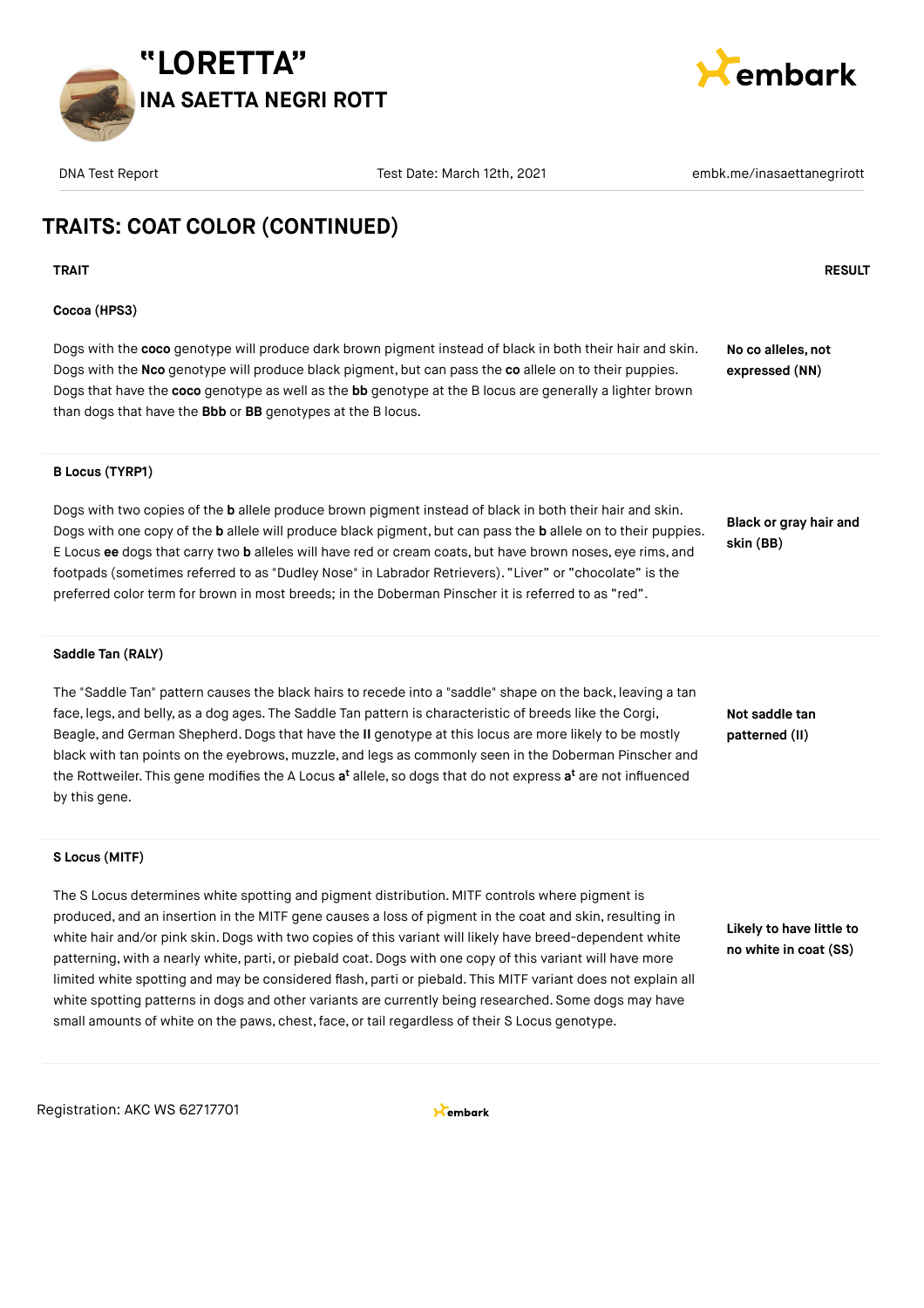



## **TRAITS: COAT COLOR (CONTINUED)**

#### **TRAIT RESULT**

#### **Cocoa (HPS3)**

Dogs with the **coco** genotype will produce dark brown pigment instead of black in both their hair and skin. Dogs with the **Nco** genotype will produce black pigment, but can pass the **co** allele on to their puppies. Dogs that have the **coco** genotype as well as the **bb** genotype at the B locus are generally a lighter brown than dogs that have the **Bbb** or **BB** genotypes at the B locus.

**No co alleles, not expressed (NN)**

#### **B Locus (TYRP1)**

Dogs with two copies of the **b** allele produce brown pigment instead of black in both their hair and skin. Dogs with one copy of the **b** allele will produce black pigment, but can pass the **b** allele on to their puppies. E Locus **ee** dogs that carry two **b** alleles will have red or cream coats, but have brown noses, eye rims, and footpads (sometimes referred to as "Dudley Nose" in Labrador Retrievers). "Liver" or "chocolate" is the preferred color term for brown in most breeds; in the Doberman Pinscher it is referred to as "red".

**Black or gray hair and skin (BB)**

#### **Saddle Tan (RALY)**

The "Saddle Tan" pattern causes the black hairs to recede into a "saddle" shape on the back, leaving a tan face, legs, and belly, as a dog ages. The Saddle Tan pattern is characteristic of breeds like the Corgi, Beagle, and German Shepherd.Dogs that have the **II** genotype at this locus are more likely to be mostly black with tan points on the eyebrows, muzzle, and legs as commonly seen in the Doberman Pinscher and the Rottweiler. This gene modifies the A Locus **a<sup>t</sup>** allele, so dogs that do not express **a'** are not influenced by this gene.

### **Not saddle tan patterned (II)**

**S Locus (MITF)**

The S Locus determines white spotting and pigment distribution. MITF controls where pigment is produced, and an insertion in the MITF gene causes a loss of pigment in the coat and skin, resulting in white hair and/or pink skin. Dogs with two copies of this variant will likely have breed-dependent white patterning, with a nearly white, parti, or piebald coat.Dogs with one copy of this variant will have more limited white spotting and may be considered flash, parti or piebald. This MITF variant does not explain all white spotting patterns in dogs and other variants are currently being researched. Some dogs may have small amounts of white on the paws, chest,face, or tail regardless of their S Locus genotype.

**Likely to have little to no white in coat (SS)**

Registration: AKC WS 62717701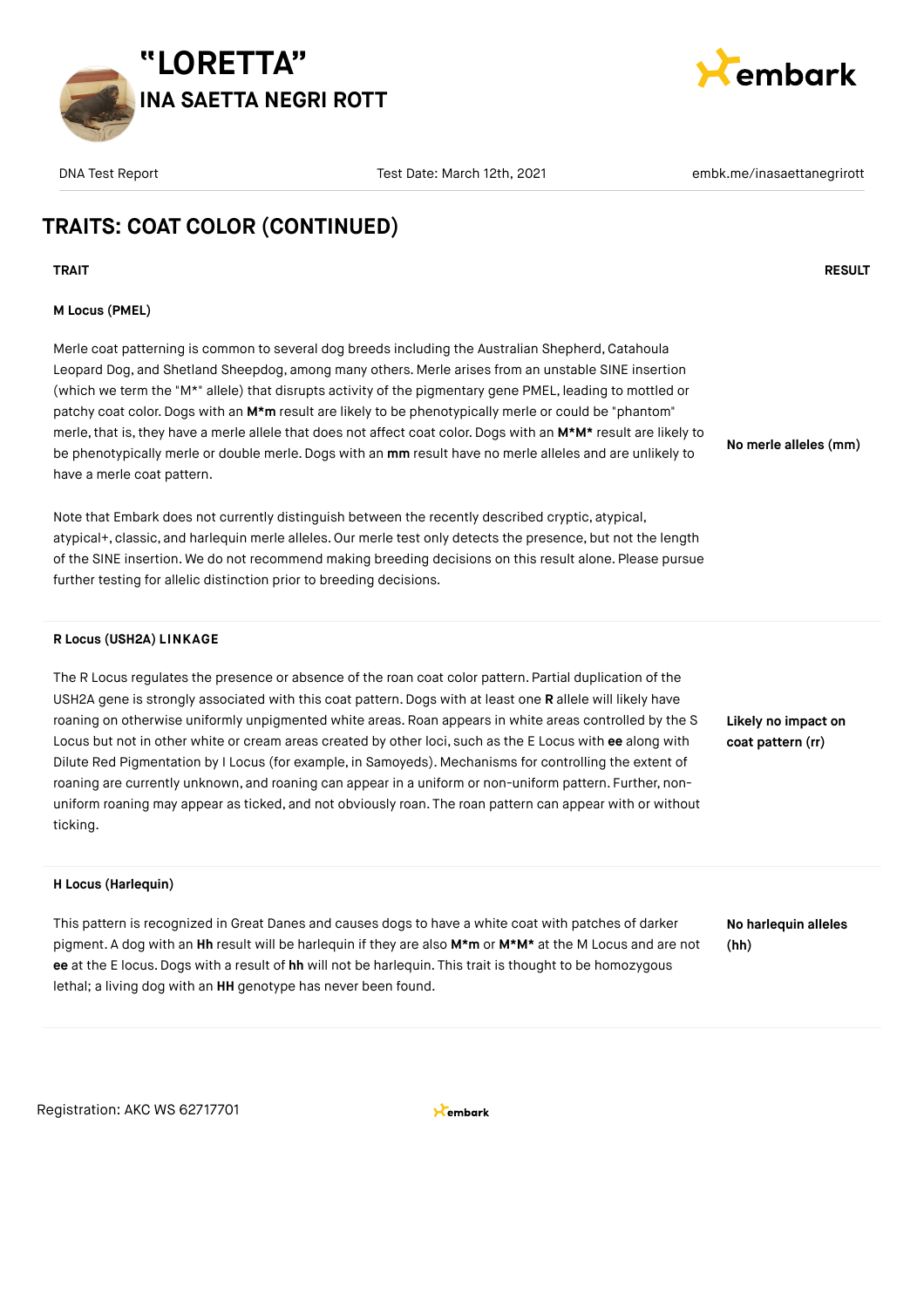



**No merle alleles (mm)**

## **TRAITS: COAT COLOR (CONTINUED)**

**TRAIT RESULT**

#### **M Locus (PMEL)**

Merle coat patterning is common to several dog breeds including the Australian Shepherd, Catahoula Leopard Dog, and Shetland Sheepdog, among many others. Merle arises from an unstable SINE insertion (which we term the "M\*" allele) that disrupts activity of the pigmentary gene PMEL, leading to mottled or patchy coat color.Dogs with an **M\*m** result are likely to be phenotypically merle or could be "phantom" merle, that is, they have a merle allele that does not affect coat color. Dogs with an M\*M\* result are likely to be phenotypically merle or double merle.Dogs with an **mm** result have no merle alleles and are unlikely to have a merle coat pattern.

Note that Embark does not currently distinguish between the recently described cryptic, atypical, atypical+, classic, and harlequin merle alleles. Our merle test only detects the presence, but not the length of the SINE insertion. We do not recommend making breeding decisions on this result alone. Please pursue further testing for allelic distinction prior to breeding decisions.

#### **R Locus (USH2A) LINKAGE**

The R Locus regulates the presence or absence of the roan coat color pattern. Partial duplication of the USH2A gene is strongly associated with this coat pattern. Dogs with at least one **R** allele will likely have roaning on otherwise uniformly unpigmented white areas. Roan appears in white areas controlled by the S Locus but not in other white or cream areas created by other loci, such as the E Locus with **ee** along with Dilute Red Pigmentation by I Locus (for example, in Samoyeds). Mechanisms for controlling the extent of roaning are currently unknown, and roaning can appear in a uniform or non-uniform pattern. Further, nonuniform roaning may appear as ticked, and not obviously roan. The roan pattern can appear with or without ticking.

## **coat pattern (rr)**

**Likely no impact on**

#### **H Locus (Harlequin)**

This pattern is recognized in Great Danes and causes dogs to have a white coat with patches of darker pigment. A dog with an **Hh** result will be harlequin if they are also **M\*m** or **M\*M\*** at the M Locus and are not **ee** at the E locus.Dogs with a result of **hh** will not be harlequin. This trait is thought to be homozygous lethal; a living dog with an **HH** genotype has never been found.

**No harlequin alleles (hh)**

Registration: AKC WS 62717701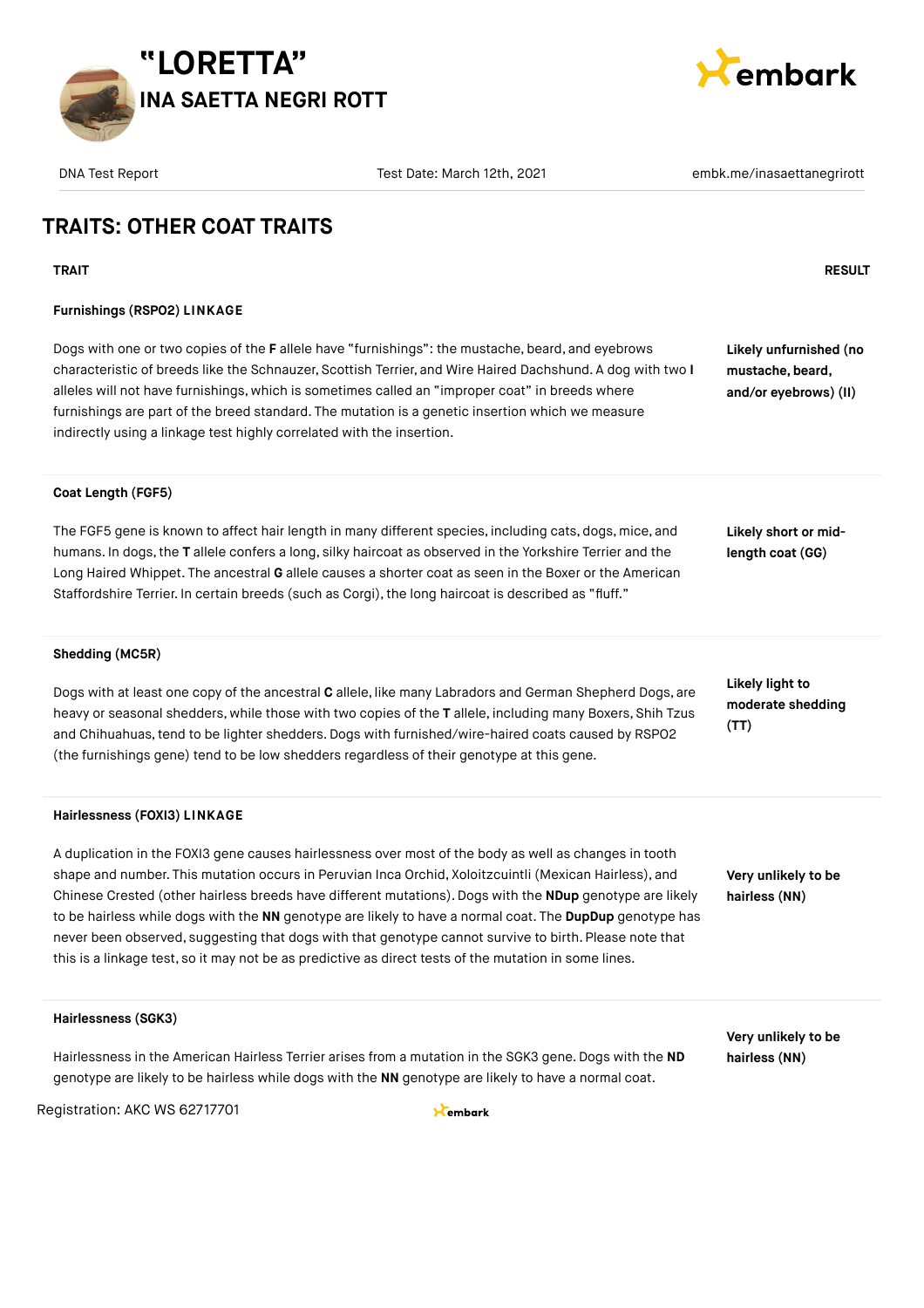



### **TRAITS: OTHER COAT TRAITS**

#### **Furnishings (RSPO2) LINKAGE**

Dogs with one or two copies of the **F** allele have "furnishings": the mustache, beard, and eyebrows characteristic of breeds like the Schnauzer, Scottish Terrier, and Wire Haired Dachshund. A dog with two **I** alleles will not have furnishings, which is sometimes called an "improper coat" in breeds where furnishings are part of the breed standard. The mutation is a genetic insertion which we measure indirectly using a linkage test highly correlated with the insertion.

**TRAIT RESULT**

**Likely unfurnished (no mustache, beard, and/or eyebrows) (II)**

#### **Coat Length (FGF5)**

The FGF5 gene is known to affect hair length in many different species, including cats, dogs, mice, and humans. In dogs,the **T** allele confers a long, silky haircoat as observed in the Yorkshire Terrier and the Long Haired Whippet. The ancestral **G** allele causes a shorter coat as seen in the Boxer or the American Staffordshire Terrier. In certain breeds (such as Corgi), the long haircoat is described as "fluff."

#### **Shedding (MC5R)**

Dogs with at least one copy of the ancestral **C** allele, like many Labradors and German Shepherd Dogs, are heavy or seasonal shedders, while those with two copies of the **T** allele, including many Boxers, Shih Tzus and Chihuahuas, tend to be lighter shedders. Dogs with furnished/wire-haired coats caused by RSPO2 (the furnishings gene) tend to be low shedders regardless of their genotype at this gene.

#### **Hairlessness (FOXI3) LINKAGE**

A duplication in the FOXI3 gene causes hairlessness over most of the body as well as changes in tooth shape and number. This mutation occurs in Peruvian Inca Orchid, Xoloitzcuintli (Mexican Hairless), and Chinese Crested (other hairless breeds have different mutations). Dogs with the **NDup** genotype are likely to be hairless while dogs with the **NN** genotype are likely to have a normal coat. The **DupDup** genotype has never been observed, suggesting that dogs with that genotype cannot survive to birth. Please note that this is a linkage test, so it may not be as predictive as direct tests of the mutation in some lines.

genotype are likely to be hairless while dogs with the **NN** genotype are likely to have a normal coat.

#### **Likely light to moderate shedding (TT)**

**Likely short or midlength coat (GG)**

**Very unlikely to be hairless (NN)**

**Very unlikely to be hairless (NN)**

Hairlessness in the American Hairless Terrier arises from a mutation in the SGK3 gene. Dogs with the **ND**

**Hairlessness (SGK3)**

Registration: AKC WS 62717701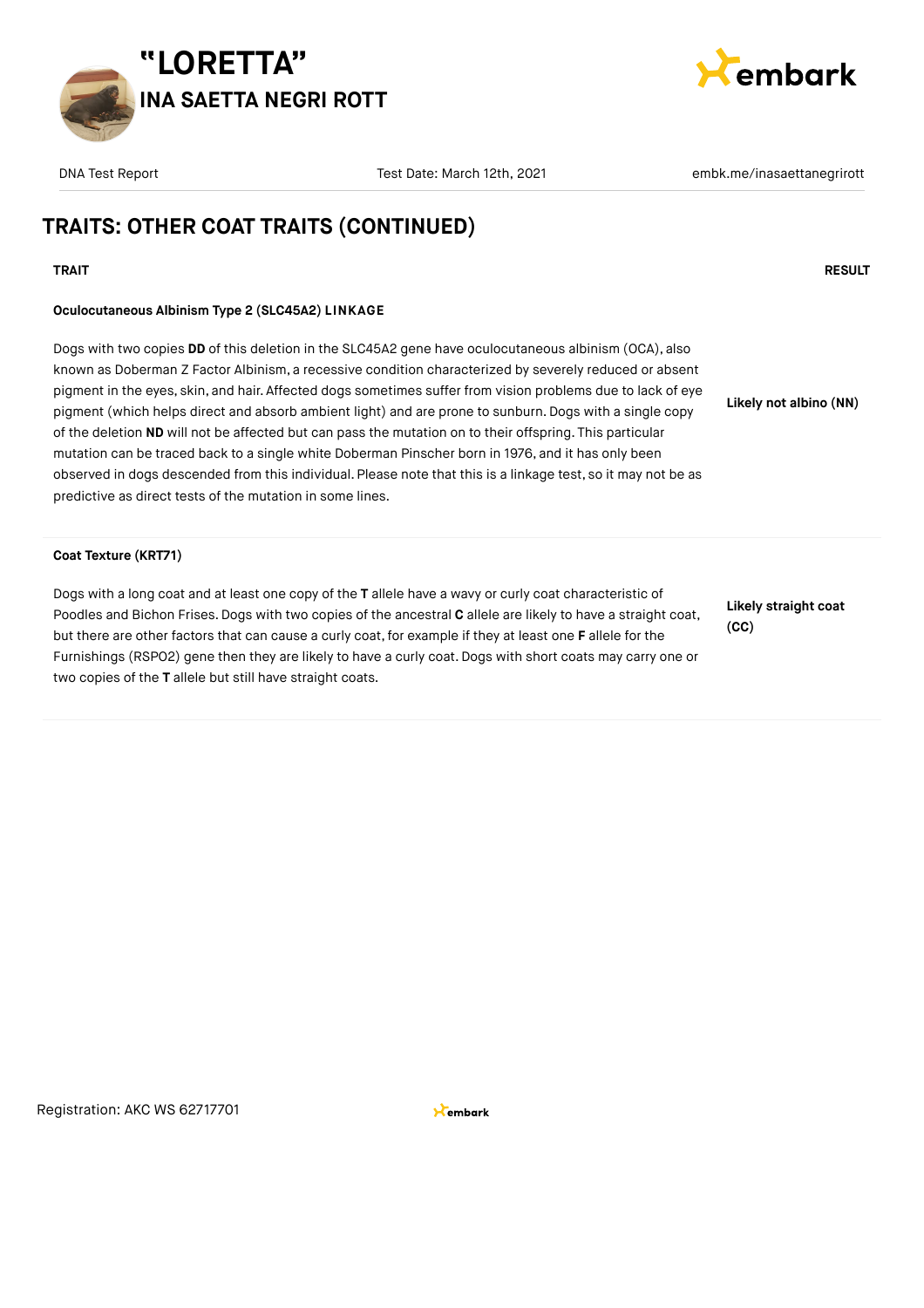



### **TRAITS: OTHER COAT TRAITS (CONTINUED)**

#### **TRAIT RESULT**

#### **Oculocutaneous Albinism Type 2 (SLC45A2) LINKAGE**

Dogs with two copies **DD** of this deletion in the SLC45A2 gene have oculocutaneous albinism (OCA), also known as Doberman Z Factor Albinism, a recessive condition characterized by severely reduced or absent pigment in the eyes, skin, and hair. Affected dogs sometimes suffer from vision problems due to lack of eye pigment (which helps direct and absorb ambient light) and are prone to sunburn. Dogs with a single copy of the deletion **ND** will not be affected but can pass the mutation on to their offspring. This particular mutation can be traced back to a single white Doberman Pinscher born in 1976, and it has only been observed in dogs descended from this individual. Please note that this is a linkage test, so it may not be as predictive as direct tests of the mutation in some lines.

#### **Coat Texture (KRT71)**

Dogs with a long coat and at least one copy of the **T** allele have a wavy or curly coat characteristic of Poodles and Bichon Frises.Dogs with two copies of the ancestral **C** allele are likely to have a straight coat, but there are other factors that can cause a curly coat, for example if they at least one **F** allele for the Furnishings (RSPO2) gene then they are likely to have a curly coat.Dogs with short coats may carry one or two copies of the **T** allele but still have straight coats.

**Likely straight coat (CC)**

**Likely not albino (NN)**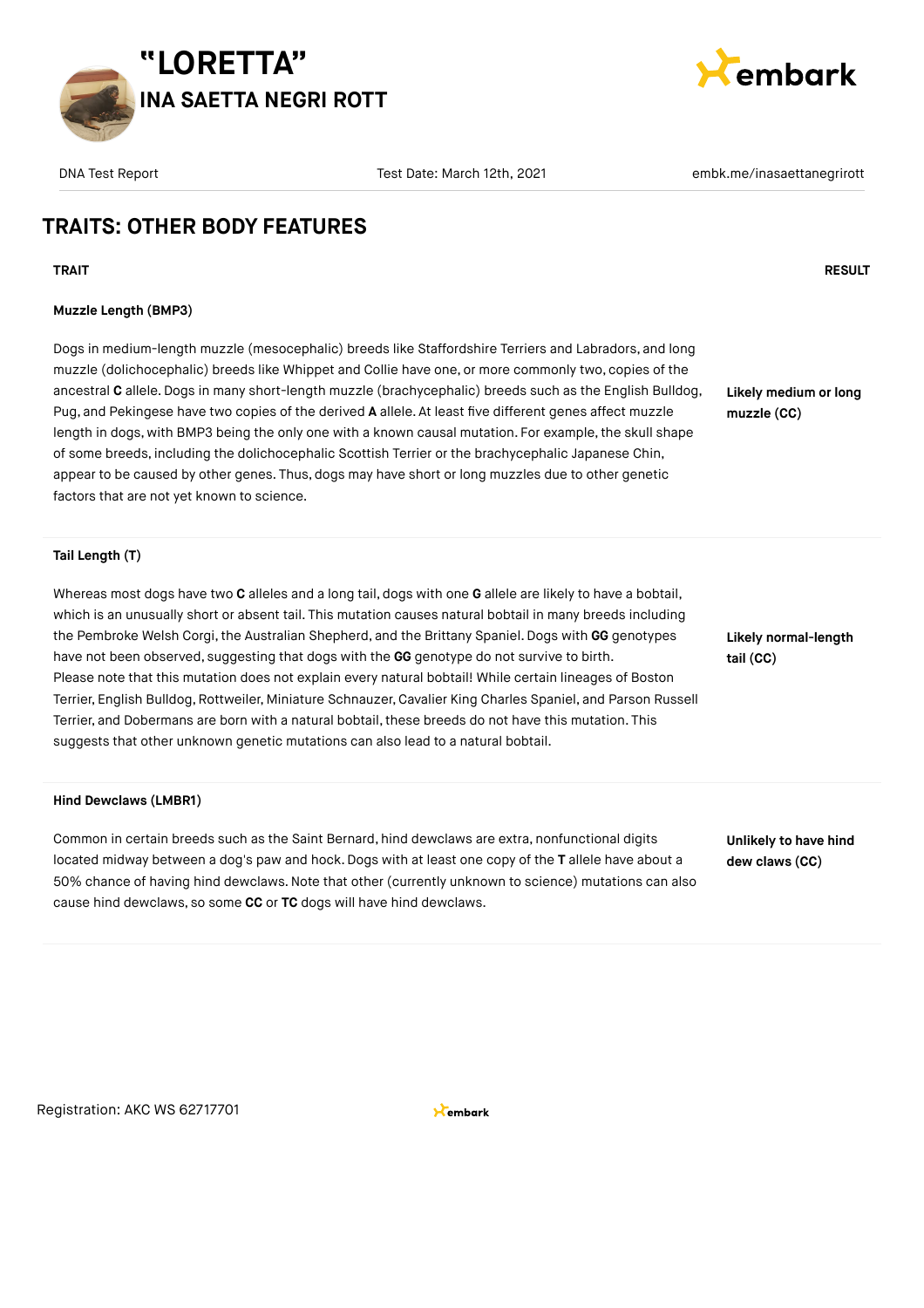



### **TRAITS: OTHER BODY FEATURES**

#### **TRAIT RESULT**

#### **Muzzle Length (BMP3)**

Dogs in medium-length muzzle (mesocephalic) breeds like Staffordshire Terriers and Labradors, and long muzzle (dolichocephalic) breeds like Whippet and Collie have one, or more commonly two, copies of the ancestral **C** allele.Dogs in many short-length muzzle (brachycephalic) breeds such as the English Bulldog, Pug, and Pekingese have two copies of the derived **A** allele. At least five different genes affect muzzle length in dogs, with BMP3 being the only one with a known causal mutation. For example, the skull shape of some breeds, including the dolichocephalic Scottish Terrier or the brachycephalic Japanese Chin, appear to be caused by other genes. Thus, dogs may have short or long muzzles due to other genetic factors that are not yet known to science.

**Likely medium or long muzzle (CC)**

#### **Tail Length (T)**

Whereas most dogs have two **C** alleles and a long tail, dogs with one **G** allele are likely to have a bobtail, which is an unusually short or absent tail. This mutation causes natural bobtail in many breeds including the Pembroke Welsh Corgi, the Australian Shepherd, and the Brittany Spaniel. Dogs with GG genotypes have not been observed, suggesting that dogs with the **GG** genotype do not survive to birth. Please note that this mutation does not explain every natural bobtail! While certain lineages of Boston Terrier, English Bulldog, Rottweiler, Miniature Schnauzer, Cavalier King Charles Spaniel, and Parson Russell Terrier, and Dobermans are born with a natural bobtail, these breeds do not have this mutation. This suggests that other unknown genetic mutations can also lead to a natural bobtail.

#### **Hind Dewclaws (LMBR1)**

Common in certain breeds such as the Saint Bernard, hind dewclaws are extra, nonfunctional digits located midway between a dog's paw and hock. Dogs with at least one copy of the **T** allele have about a 50% chance of having hind dewclaws.Note that other (currently unknown to science) mutations can also cause hind dewclaws, so some **CC** or **TC** dogs will have hind dewclaws.

**tail (CC)**

**Likely normal-length**

**Unlikely to have hind dew claws (CC)**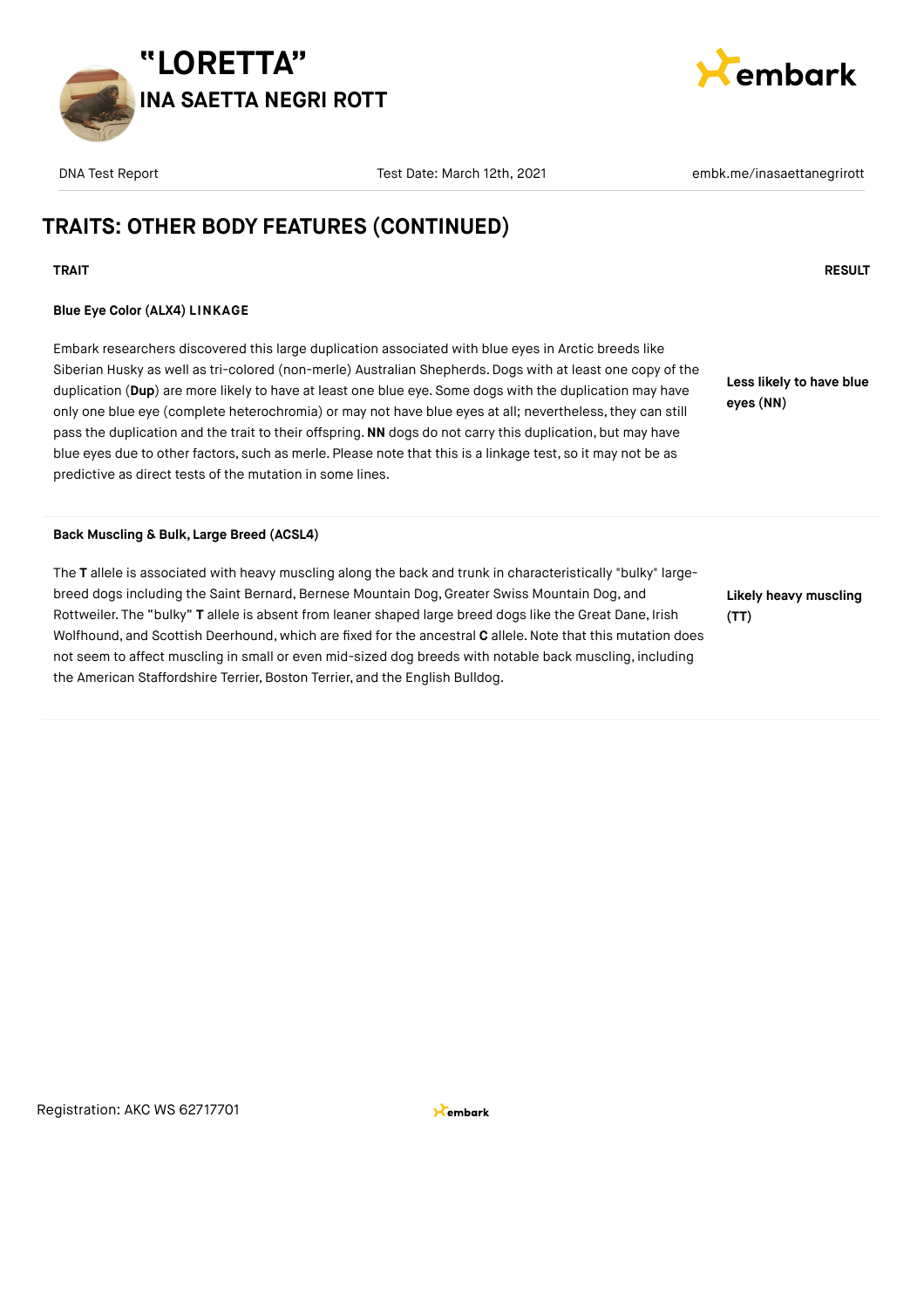



### **TRAITS: OTHER BODY FEATURES (CONTINUED)**

#### **TRAIT RESULT**

#### **Blue Eye Color (ALX4) LINKAGE**

Embark researchers discovered this large duplication associated with blue eyes in Arctic breeds like Siberian Husky as well as tri-colored (non-merle) Australian Shepherds. Dogs with at least one copy of the duplication (**Dup**) are more likely to have at least one blue eye. Some dogs with the duplication may have only one blue eye (complete heterochromia) or may not have blue eyes at all; nevertheless,they can still pass the duplication and the trait to their offspring.**NN** dogs do not carry this duplication, but may have blue eyes due to other factors, such as merle. Please note that this is a linkage test, so it may not be as predictive as direct tests of the mutation in some lines.

**Back Muscling & Bulk, Large Breed (ACSL4)**

The **T** allele is associated with heavy muscling along the back and trunk in characteristically "bulky" largebreed dogs including the Saint Bernard, Bernese Mountain Dog, Greater Swiss Mountain Dog, and Rottweiler. The "bulky" **T** allele is absent from leaner shaped large breed dogs like the Great Dane, Irish Wolfhound, and Scottish Deerhound, which are fixed for the ancestral **C** allele.Note that this mutation does not seem to affect muscling in small or even mid-sized dog breeds with notable back muscling, including the American Staffordshire Terrier, Boston Terrier, and the English Bulldog.

**Less likely to have blue**

**eyes (NN)**

**Likely heavy muscling (TT)**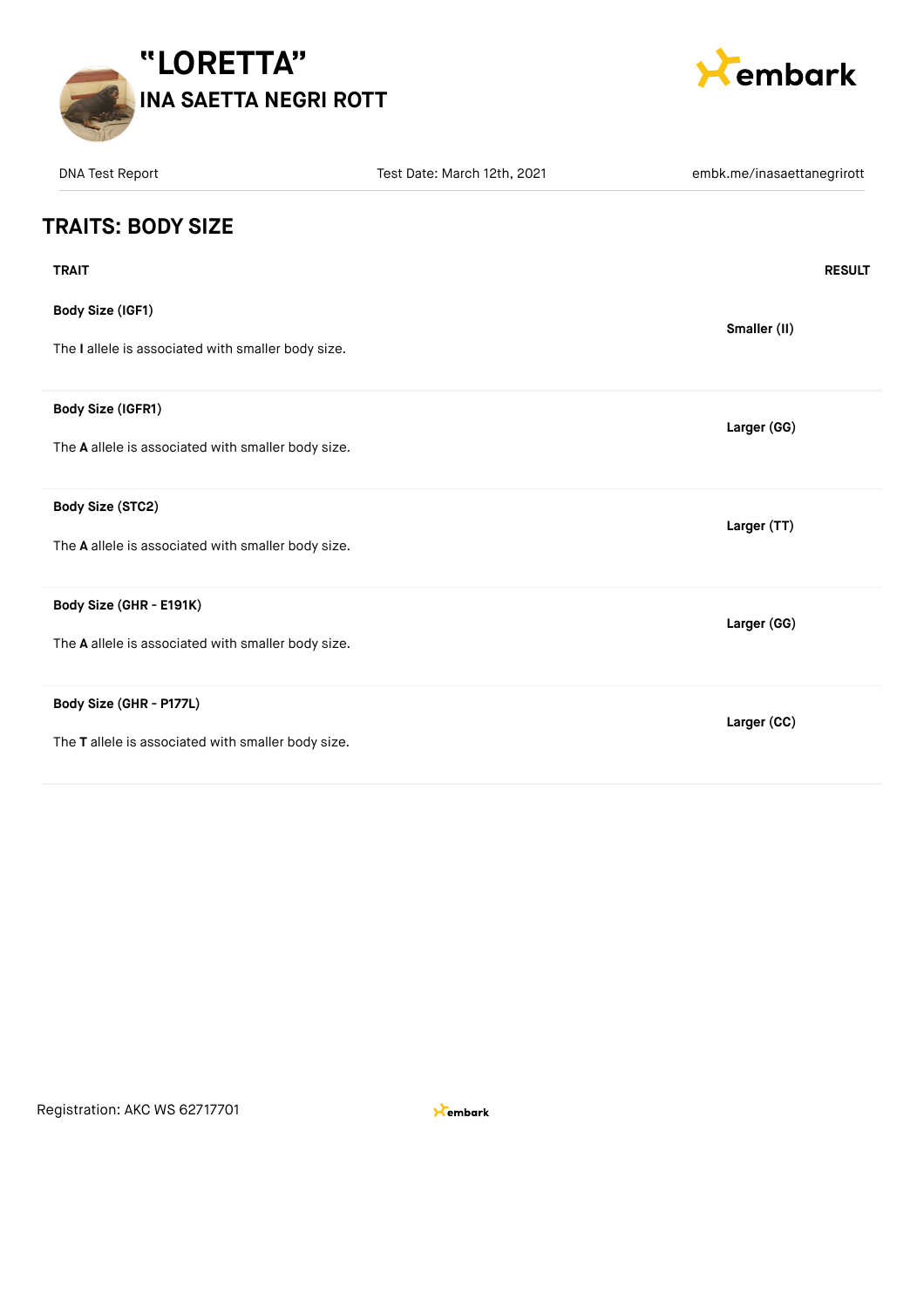



| <b>DNA Test Report</b>                             | Test Date: March 12th, 2021 | embk.me/inasaettanegrirott |
|----------------------------------------------------|-----------------------------|----------------------------|
| <b>TRAITS: BODY SIZE</b>                           |                             |                            |
| <b>TRAIT</b>                                       |                             | <b>RESULT</b>              |
| Body Size (IGF1)                                   |                             |                            |
| The I allele is associated with smaller body size. |                             | Smaller (II)               |
| Body Size (IGFR1)                                  |                             | Larger (GG)                |
| The A allele is associated with smaller body size. |                             |                            |
| Body Size (STC2)                                   |                             | Larger (TT)                |
| The A allele is associated with smaller body size. |                             |                            |
| Body Size (GHR - E191K)                            |                             | Larger (GG)                |
| The A allele is associated with smaller body size. |                             |                            |
| Body Size (GHR - P177L)                            |                             | Larger (CC)                |
| The T allele is associated with smaller body size. |                             |                            |

Registration: AKC WS 62717701

 $\star$ embark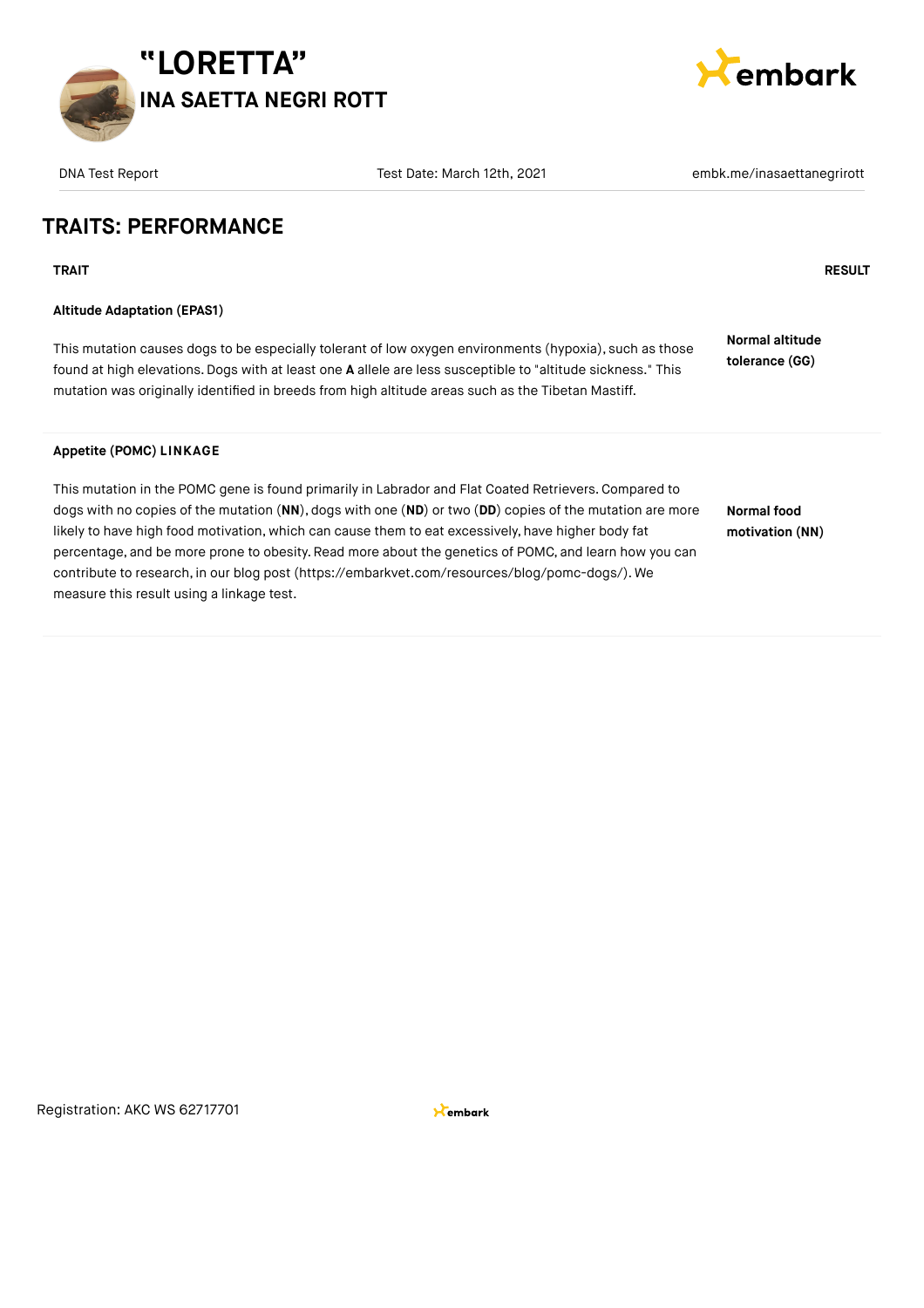



### **TRAITS: PERFORMANCE**

**TRAIT RESULT**

#### **Altitude Adaptation (EPAS1)**

This mutation causes dogs to be especially tolerant of low oxygen environments (hypoxia), such as those found at high elevations.Dogs with at least one **A** allele are less susceptible to "altitude sickness." This mutation was originally identified in breeds from high altitude areas such as the Tibetan Mastiff.

**Normal altitude tolerance (GG)**

#### **Appetite (POMC) LINKAGE**

This mutation in the POMC gene is found primarily in Labrador and Flat Coated Retrievers.Compared to dogs with no copies of the mutation (**NN**), dogs with one (**ND**) or two (**DD**) copies of the mutation are more likely to have high food motivation, which can cause them to eat excessively, have higher body fat percentage, and be more prone to obesity. Read more about the genetics of POMC, and learn how you can contribute to research, in our blog post [\(https://embarkvet.com/resources/blog/pomc-dogs/\)](https://embarkvet.com/resources/blog/pomc-dogs/). We measure this result using a linkage test.

**Normal food motivation (NN)**

Registration: AKC WS 62717701

**X**embark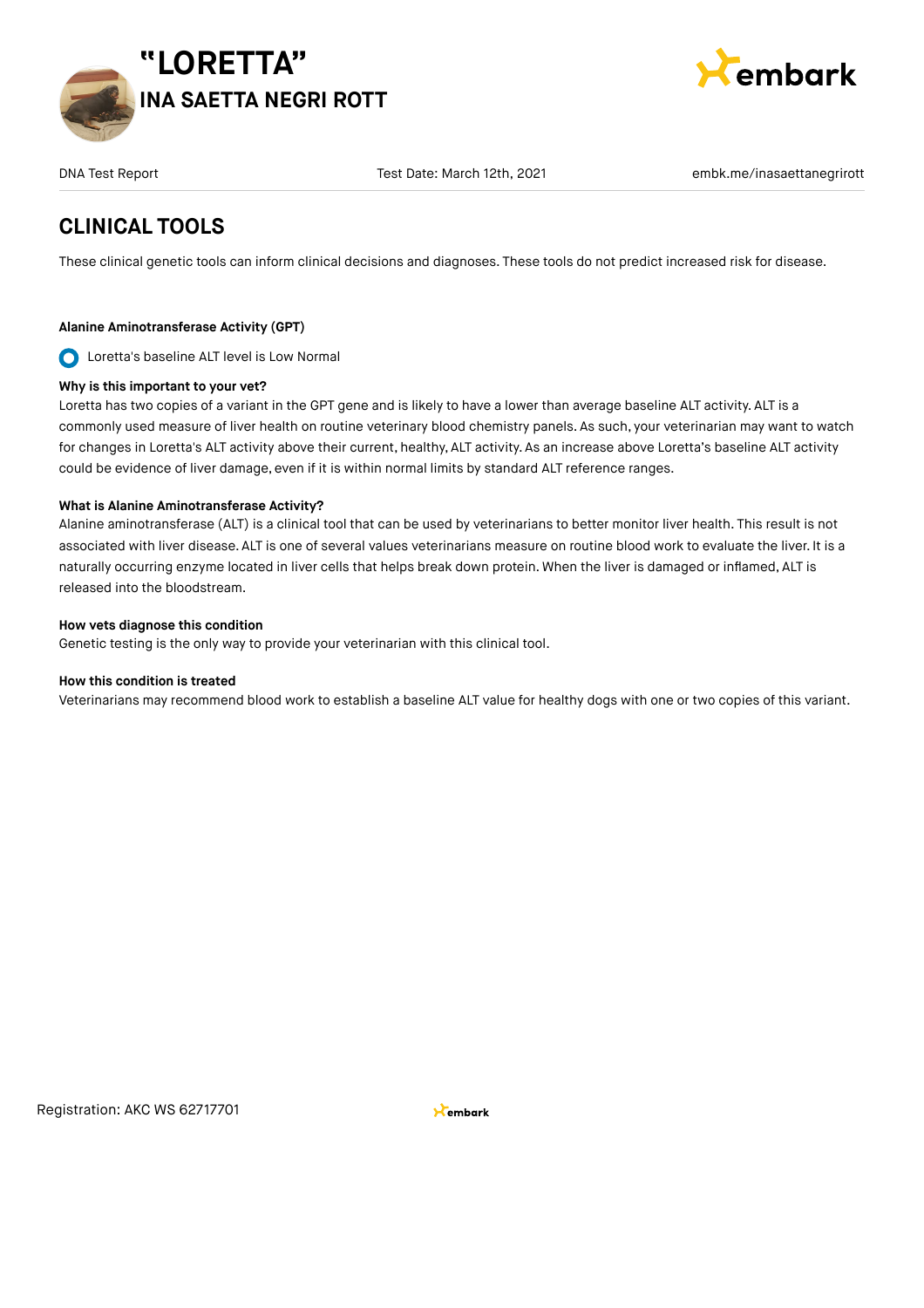



### **CLINICAL TOOLS**

These clinical genetic tools can inform clinical decisions and diagnoses. These tools do not predict increased risk for disease.

#### **Alanine Aminotransferase Activity (GPT)**

O Loretta's baseline ALT level is Low Normal

#### **Why is this important to your vet?**

Loretta has two copies of a variant in the GPT gene and is likely to have a lower than average baseline ALT activity. ALT is a commonly used measure of liver health on routine veterinary blood chemistry panels. As such, your veterinarian may want to watch for changes in Loretta's ALT activity above their current, healthy, ALT activity. As an increase above Loretta's baseline ALT activity could be evidence of liver damage, even if it is within normal limits by standard ALT reference ranges.

#### **What is Alanine Aminotransferase Activity?**

Alanine aminotransferase (ALT) is a clinical tool that can be used by veterinarians to better monitor liver health. This result is not associated with liver disease. ALT is one of several values veterinarians measure on routine blood work to evaluate the liver. It is a naturally occurring enzyme located in liver cells that helps break down protein. When the liver is damaged or inflamed, ALT is released into the bloodstream.

#### **How vets diagnose this condition**

Genetic testing is the only way to provide your veterinarian with this clinical tool.

#### **How this condition is treated**

Veterinarians may recommend blood work to establish a baseline ALT value for healthy dogs with one or two copies of this variant.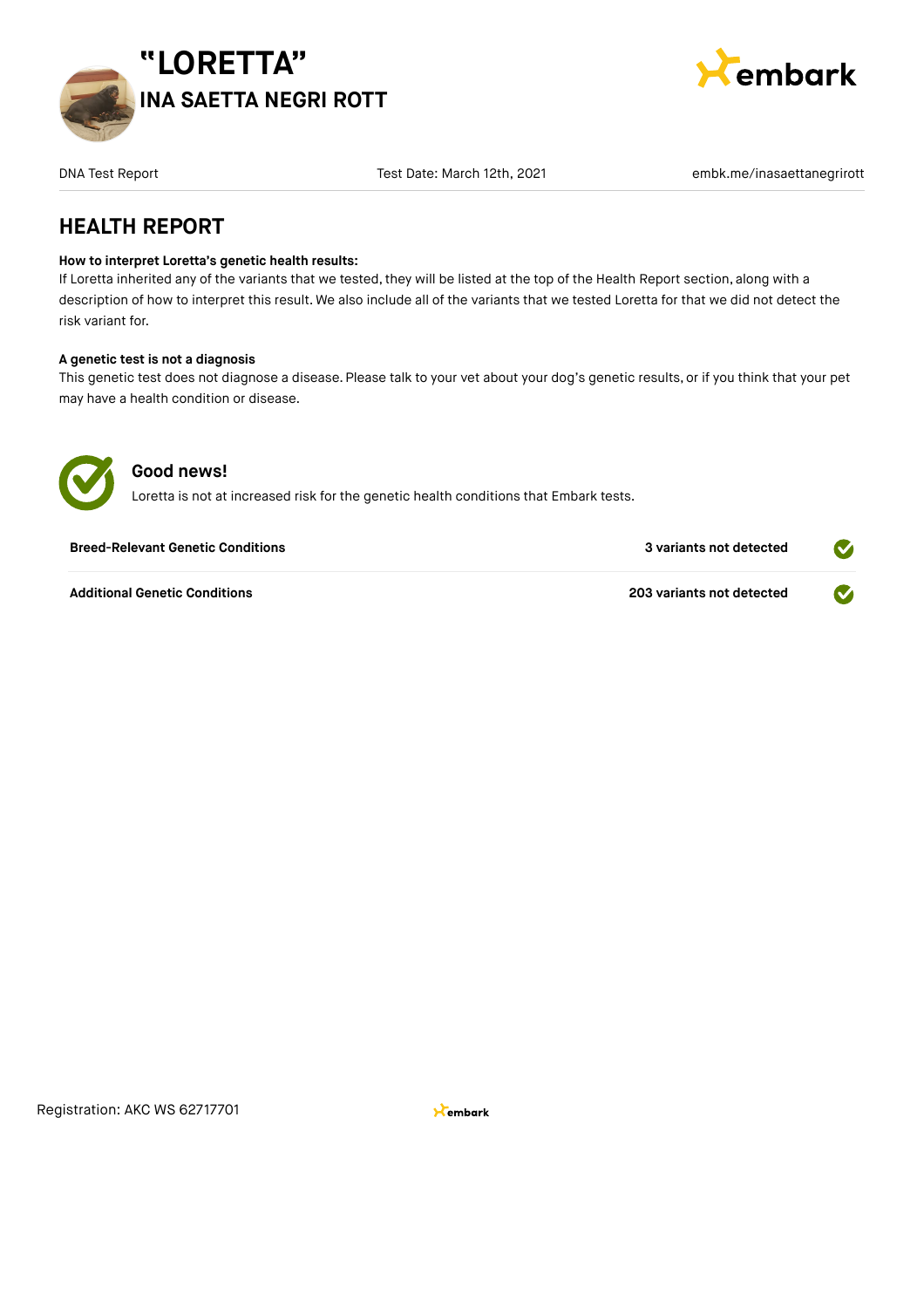



DNA Test Date: March 12th, 2021 embk.me/inasaettanegrirott Test Date: March 12th, 2021

### **HEALTH REPORT**

#### **How to interpret Loretta's genetic health results:**

If Loretta inherited any of the variants that we tested, they will be listed at the top of the Health Report section, along with a description of how to interpret this result. We also include all of the variants that we tested Loretta for that we did not detect the risk variant for.

#### **A genetic test is not a diagnosis**

This genetic test does not diagnose a disease. Please talk to your vet about your dog's genetic results, or if you think that your pet may have a health condition or disease.



#### **Good news!**

Loretta is not at increased risk for the genetic health conditions that Embark tests.

| <b>Breed-Relevant Genetic Conditions</b> | 3 variants not detected   |  |
|------------------------------------------|---------------------------|--|
| <b>Additional Genetic Conditions</b>     | 203 variants not detected |  |

Registration: AKC WS 62717701

**X**embark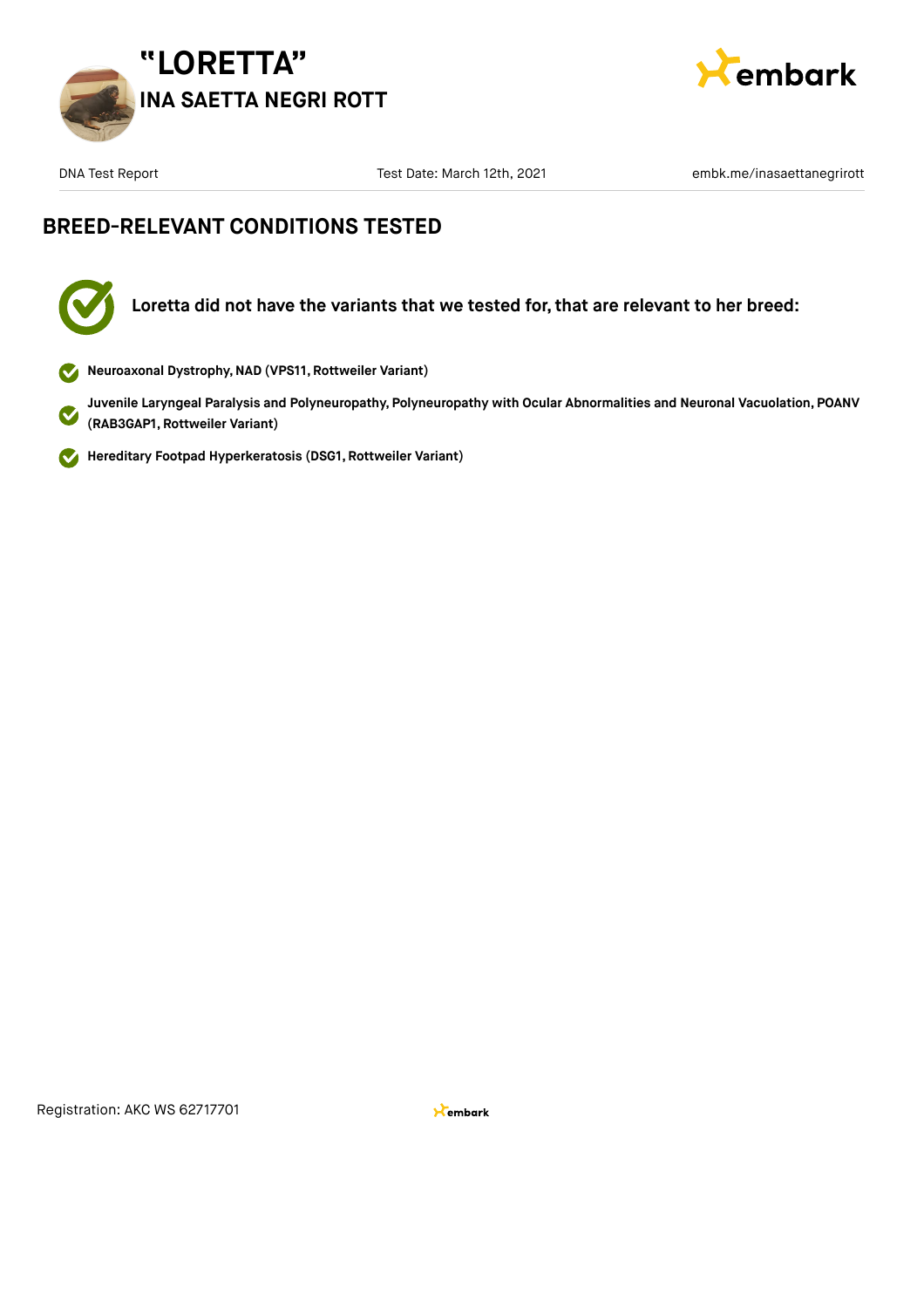



DNA Test Date: March 12th, 2021 embk.me/inasaettanegrirott Test Date: March 12th, 2021

### **BREED-RELEVANT CONDITIONS TESTED**

**Loretta did not have the variants that we tested for, that are relevant to her breed:**

**Neuroaxonal Dystrophy,NAD (VPS11, Rottweiler Variant)**

**Juvenile Laryngeal Paralysis and Polyneuropathy, Polyneuropathy with Ocular Abnormalities and Neuronal Vacuolation, POANV (RAB3GAP1, Rottweiler Variant)**

**Hereditary Footpad Hyperkeratosis (DSG1, Rottweiler Variant)**  $\checkmark$ 

Registration: AKC WS 62717701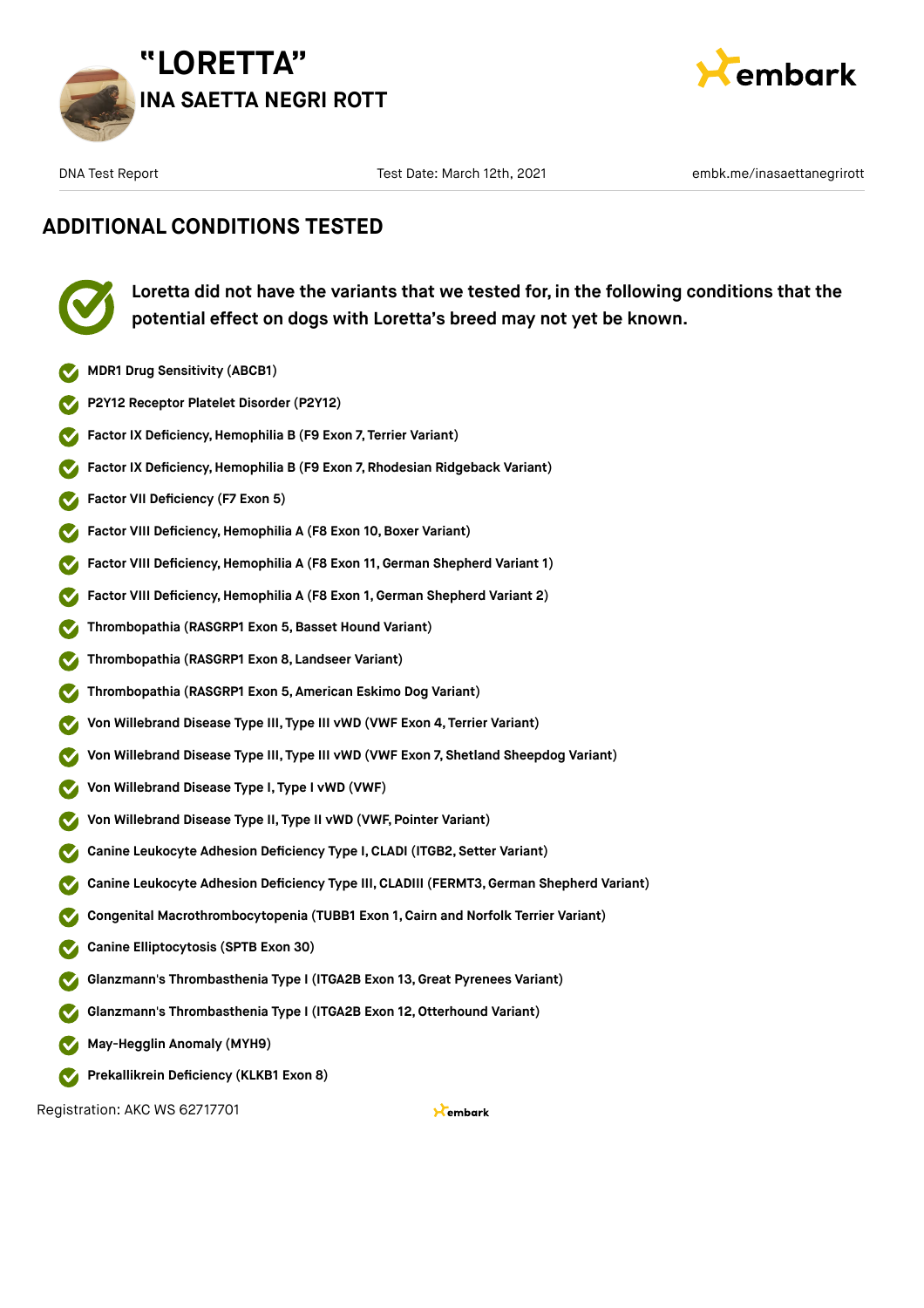



### **ADDITIONAL CONDITIONS TESTED**



**Loretta did not have the variants that we tested for, in the following conditions that the potential effect on dogs with Loretta's breed may not yet be known.**

- **MDR1 Drug Sensitivity (ABCB1)**
- **P2Y12 Receptor Platelet Disorder (P2Y12)**
- **Factor IX Deficiency, Hemophilia B (F9 Exon 7, Terrier Variant)**
- **Factor IX Deficiency, Hemophilia B (F9 Exon 7, Rhodesian Ridgeback Variant)**
- **Factor VII Deficiency (F7 Exon 5)**
- **Factor VIII Deficiency, Hemophilia A (F8 Exon 10, Boxer Variant)**
- **Factor VIII Deficiency, Hemophilia A (F8 Exon 11, German Shepherd Variant 1)**
- **Factor VIII Deficiency,Hemophilia A (F8 Exon 1, German Shepherd Variant 2)**
- **Thrombopathia (RASGRP1 Exon 5,Basset Hound Variant)**
- **Thrombopathia (RASGRP1 Exon 8, Landseer Variant)**
- **Thrombopathia (RASGRP1 Exon 5, American Eskimo Dog Variant)**
- **Von Willebrand Disease Type III, Type III vWD (VWF Exon 4, Terrier Variant)**
- **Von Willebrand Disease Type III, Type III vWD (VWF Exon 7, Shetland Sheepdog Variant)**
- **Von Willebrand Disease Type I, Type I vWD (VWF)**
- **Von Willebrand Disease Type II, Type II vWD (VWF, Pointer Variant)**
- **Canine Leukocyte Adhesion Deficiency Type I,CLADI (ITGB2, Setter Variant)**
- **Canine Leukocyte Adhesion Deficiency Type III, CLADIII (FERMT3,German Shepherd Variant)**
- **Congenital Macrothrombocytopenia (TUBB1 Exon 1, Cairn and Norfolk Terrier Variant)**
- **Canine Elliptocytosis (SPTB Exon 30)**
- **Glanzmann's Thrombasthenia Type I (ITGA2B Exon 13,Great Pyrenees Variant)**
- **Glanzmann's Thrombasthenia Type I (ITGA2B Exon 12,Otterhound Variant)**
- **May-Hegglin Anomaly (MYH9)**
- **Prekallikrein Deficiency (KLKB1 Exon 8)**

Registration: AKC WS 62717701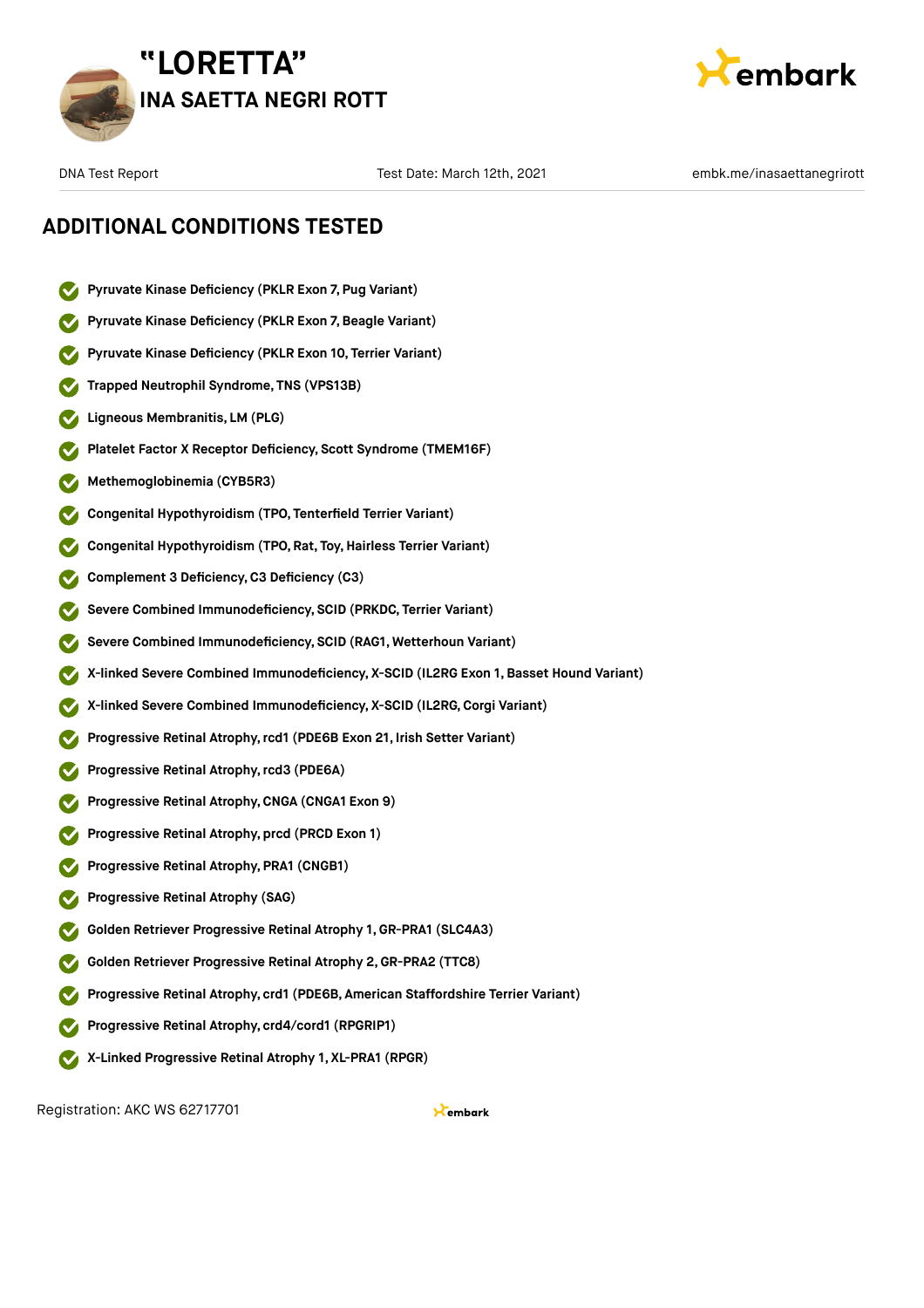



### **ADDITIONAL CONDITIONS TESTED**

- **Pyruvate Kinase Deficiency (PKLR Exon 7, Pug Variant)**
- **Pyruvate Kinase Deficiency (PKLR Exon 7,Beagle Variant)**
- **Pyruvate Kinase Deficiency (PKLR Exon 10, Terrier Variant)**
- **Trapped Neutrophil Syndrome, TNS (VPS13B)**
- **Ligneous Membranitis, LM (PLG)**
- **Platelet Factor X Receptor Deficiency, Scott Syndrome (TMEM16F)**
- **Methemoglobinemia (CYB5R3)**
- **Congenital Hypothyroidism (TPO, Tenterfield Terrier Variant)**
- **Congenital Hypothyroidism (TPO, Rat, Toy,Hairless Terrier Variant)**
- **Complement 3 Deficiency,C3 Deficiency (C3)**
- **Severe Combined Immunodeficiency, SCID (PRKDC, Terrier Variant)**
- **Severe Combined Immunodeficiency, SCID (RAG1, Wetterhoun Variant)**
- **X-linked Severe Combined Immunodeficiency, X-SCID (IL2RG Exon 1, Basset Hound Variant)**
- **X-linked Severe Combined Immunodeficiency, X-SCID (IL2RG,Corgi Variant)**
- **Progressive Retinal Atrophy,rcd1 (PDE6B Exon 21, Irish Setter Variant)**
- **Progressive Retinal Atrophy,rcd3 (PDE6A)**
- **Progressive Retinal Atrophy,CNGA (CNGA1 Exon 9)**
- **Progressive Retinal Atrophy, prcd (PRCD Exon 1)**
- **Progressive Retinal Atrophy, PRA1 (CNGB1)**
- **Progressive Retinal Atrophy (SAG)**
- **Golden Retriever Progressive Retinal Atrophy 1, GR-PRA1 (SLC4A3)**
- **Golden Retriever Progressive Retinal Atrophy 2,GR-PRA2 (TTC8)**
- **Progressive Retinal Atrophy, crd1 (PDE6B, American Staffordshire Terrier Variant)**
- **Progressive Retinal Atrophy, crd4/cord1 (RPGRIP1)**
- **X-Linked Progressive Retinal Atrophy 1, XL-PRA1 (RPGR)**

Registration: AKC WS 62717701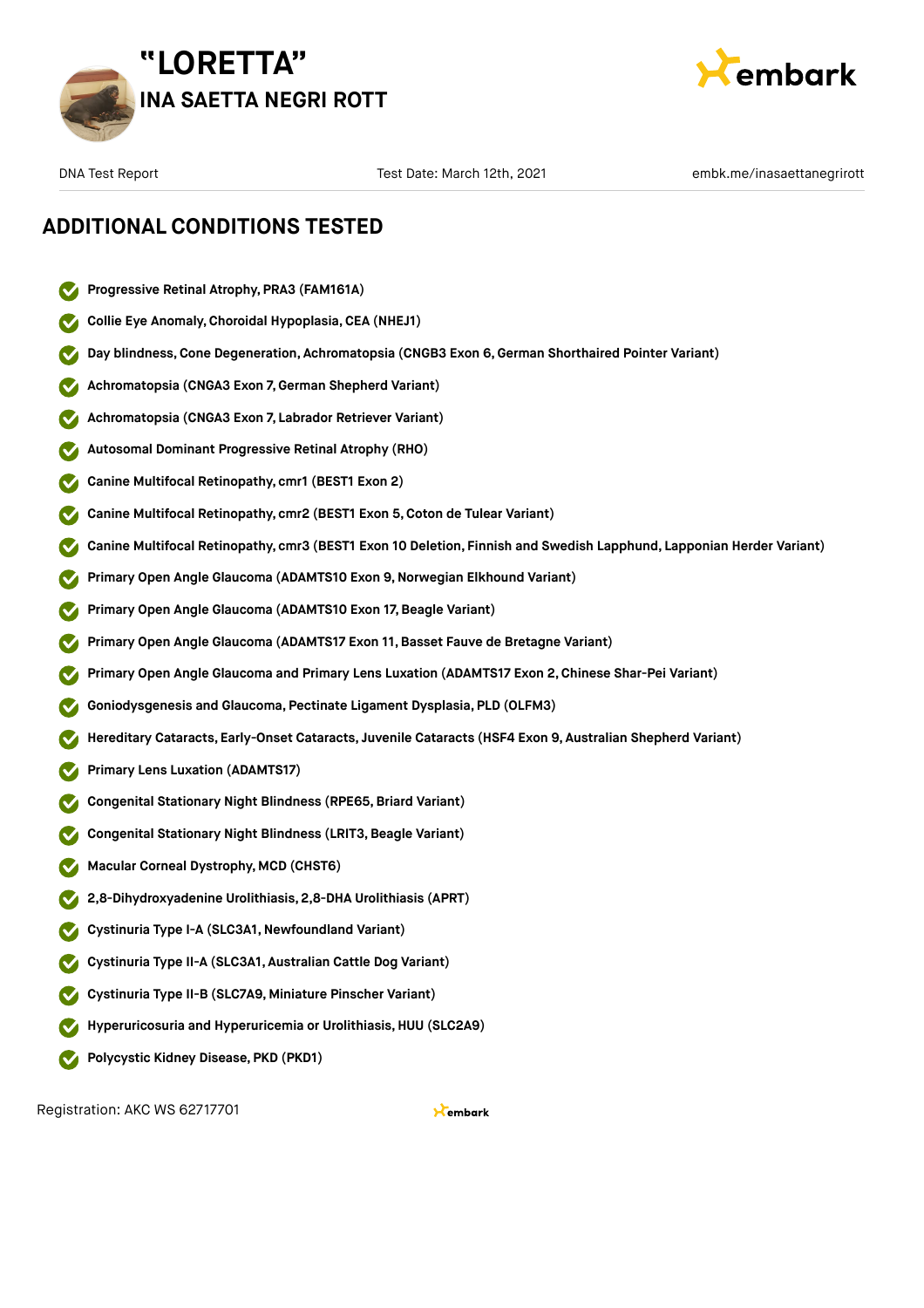



### **ADDITIONAL CONDITIONS TESTED**

- **Progressive Retinal Atrophy, PRA3 (FAM161A)**
- **Collie Eye Anomaly,Choroidal Hypoplasia,CEA (NHEJ1)**
- **Day blindness,Cone Degeneration, Achromatopsia (CNGB3 Exon 6,German Shorthaired Pointer Variant)**
- **Achromatopsia (CNGA3 Exon 7,German Shepherd Variant)**
- **Achromatopsia (CNGA3 Exon 7, Labrador Retriever Variant)**
- **Autosomal Dominant Progressive Retinal Atrophy (RHO)**
- **Canine Multifocal Retinopathy, cmr1 (BEST1 Exon 2)**
- **Canine Multifocal Retinopathy, cmr2 (BEST1 Exon 5,Coton de Tulear Variant)**
- **Canine Multifocal Retinopathy, cmr3 (BEST1 Exon 10 Deletion, Finnish and Swedish Lapphund, Lapponian Herder Variant)**
- **Primary Open Angle Glaucoma (ADAMTS10 Exon 9,Norwegian Elkhound Variant)**
- **Primary Open Angle Glaucoma (ADAMTS10 Exon 17, Beagle Variant)**
- **Primary Open Angle Glaucoma (ADAMTS17 Exon 11,Basset Fauve de Bretagne Variant)**
- **Primary Open Angle Glaucoma and Primary Lens Luxation (ADAMTS17 Exon 2,Chinese Shar-Pei Variant)**
- **Goniodysgenesis and Glaucoma, Pectinate Ligament Dysplasia, PLD (OLFM3)**
- **Hereditary Cataracts, Early-Onset Cataracts, Juvenile Cataracts (HSF4 Exon 9, Australian Shepherd Variant)**
- **Primary Lens Luxation (ADAMTS17)**
- **Congenital Stationary Night Blindness (RPE65,Briard Variant)**
- **Congenital Stationary Night Blindness (LRIT3,Beagle Variant)**
- **Macular Corneal Dystrophy, MCD (CHST6)**
- **2,8-Dihydroxyadenine Urolithiasis, 2,8-DHA Urolithiasis (APRT)**
- **Cystinuria Type I-A (SLC3A1,Newfoundland Variant)**
- **Cystinuria Type II-A (SLC3A1, Australian Cattle Dog Variant)**
- **Cystinuria Type II-B (SLC7A9, Miniature Pinscher Variant)**
- **Hyperuricosuria and Hyperuricemia or Urolithiasis, HUU (SLC2A9)**
- **Polycystic Kidney Disease, PKD (PKD1)**

Registration: AKC WS 62717701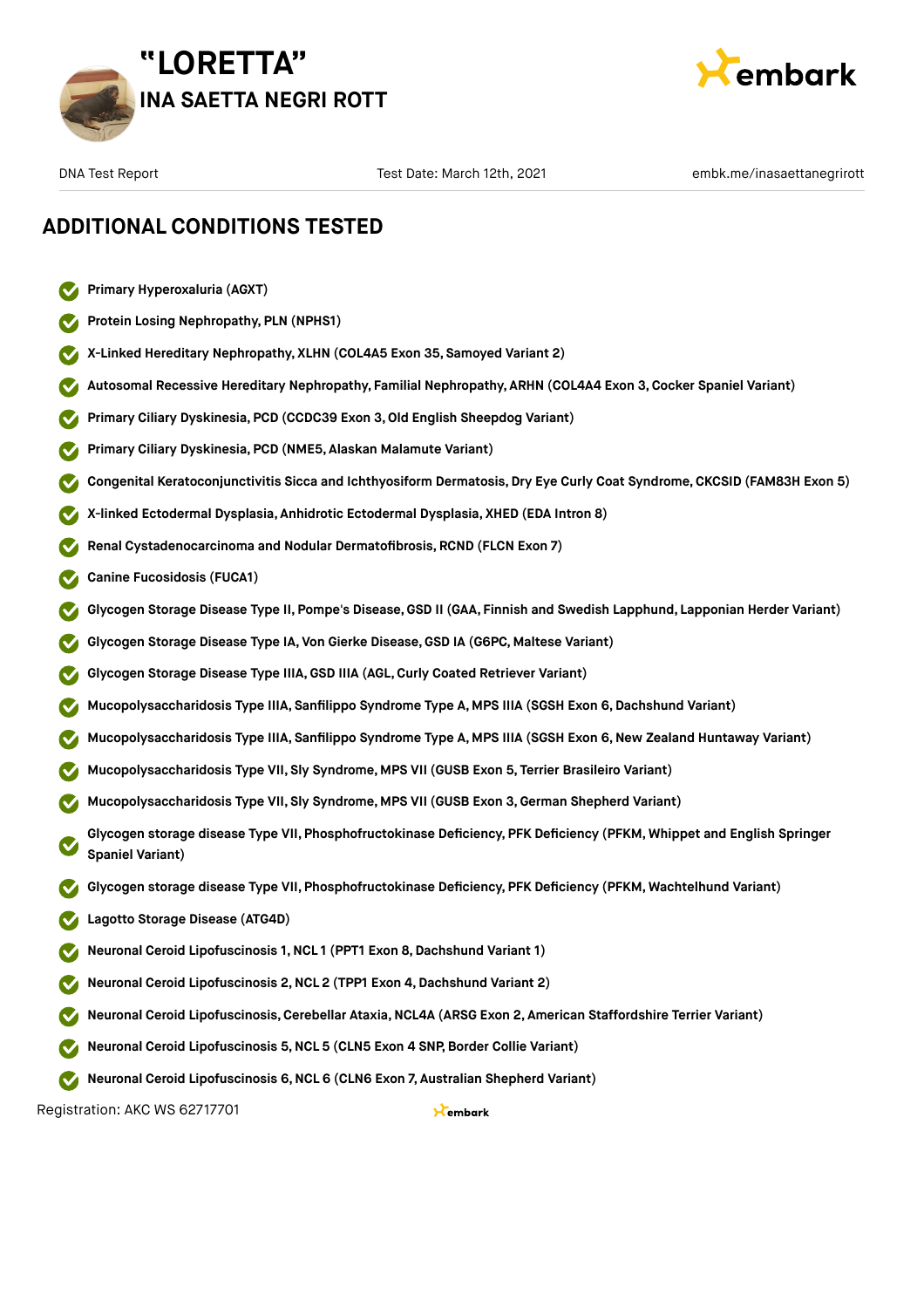



### **ADDITIONAL CONDITIONS TESTED**

- **Primary Hyperoxaluria (AGXT)**
- **Protein Losing Nephropathy, PLN (NPHS1)**
- **X-Linked Hereditary Nephropathy, XLHN (COL4A5 Exon 35, Samoyed Variant 2)**
- **Autosomal Recessive Hereditary Nephropathy, Familial Nephropathy, ARHN (COL4A4 Exon 3,Cocker Spaniel Variant)**
- **Primary Ciliary Dyskinesia, PCD (CCDC39 Exon 3,Old English Sheepdog Variant)**
- **Primary Ciliary Dyskinesia, PCD (NME5, Alaskan Malamute Variant)**
- **Congenital Keratoconjunctivitis Sicca and Ichthyosiform Dermatosis, Dry Eye Curly Coat Syndrome, CKCSID (FAM83H Exon 5)**
- **X-linked Ectodermal Dysplasia, Anhidrotic Ectodermal Dysplasia, XHED (EDA Intron 8)**
- **Renal Cystadenocarcinoma and Nodular Dermatofibrosis, RCND (FLCN Exon 7)**
- **Canine Fucosidosis (FUCA1)**
- **Glycogen Storage Disease Type II, Pompe's Disease,GSD II (GAA, Finnish and Swedish Lapphund, Lapponian Herder Variant)**
- **Glycogen Storage Disease Type IA, Von Gierke Disease,GSD IA (G6PC, Maltese Variant)**
- **Glycogen Storage Disease Type IIIA,GSD IIIA (AGL,Curly Coated Retriever Variant)**
- **Mucopolysaccharidosis Type IIIA, Sanfilippo Syndrome Type A, MPS IIIA (SGSH Exon 6,Dachshund Variant)**
- **Mucopolysaccharidosis Type IIIA, Sanfilippo Syndrome Type A, MPS IIIA (SGSH Exon 6,New Zealand Huntaway Variant)**
- **Mucopolysaccharidosis Type VII, Sly Syndrome, MPS VII (GUSB Exon 5, Terrier Brasileiro Variant)**
- **Mucopolysaccharidosis Type VII, Sly Syndrome, MPS VII (GUSB Exon 3,German Shepherd Variant)**
- **Glycogen storage disease Type VII, Phosphofructokinase Deficiency, PFK Deficiency (PFKM, Whippet and English Springer Spaniel Variant)**
- **Glycogen storage disease Type VII, Phosphofructokinase Deficiency, PFK Deficiency (PFKM, Wachtelhund Variant)**
- **Lagotto Storage Disease (ATG4D)**
- **Neuronal Ceroid Lipofuscinosis 1,NCL 1 (PPT1 Exon 8,Dachshund Variant 1)**
- **Neuronal Ceroid Lipofuscinosis 2,NCL 2 (TPP1 Exon 4,Dachshund Variant 2)**
- **Neuronal Ceroid Lipofuscinosis,Cerebellar Ataxia,NCL4A (ARSG Exon 2, American Staffordshire Terrier Variant)**
- **Neuronal Ceroid Lipofuscinosis 5,NCL 5 (CLN5 Exon 4 SNP, Border Collie Variant)**
- **Neuronal Ceroid Lipofuscinosis 6,NCL 6 (CLN6 Exon 7, Australian Shepherd Variant)**

Registration: AKC WS 62717701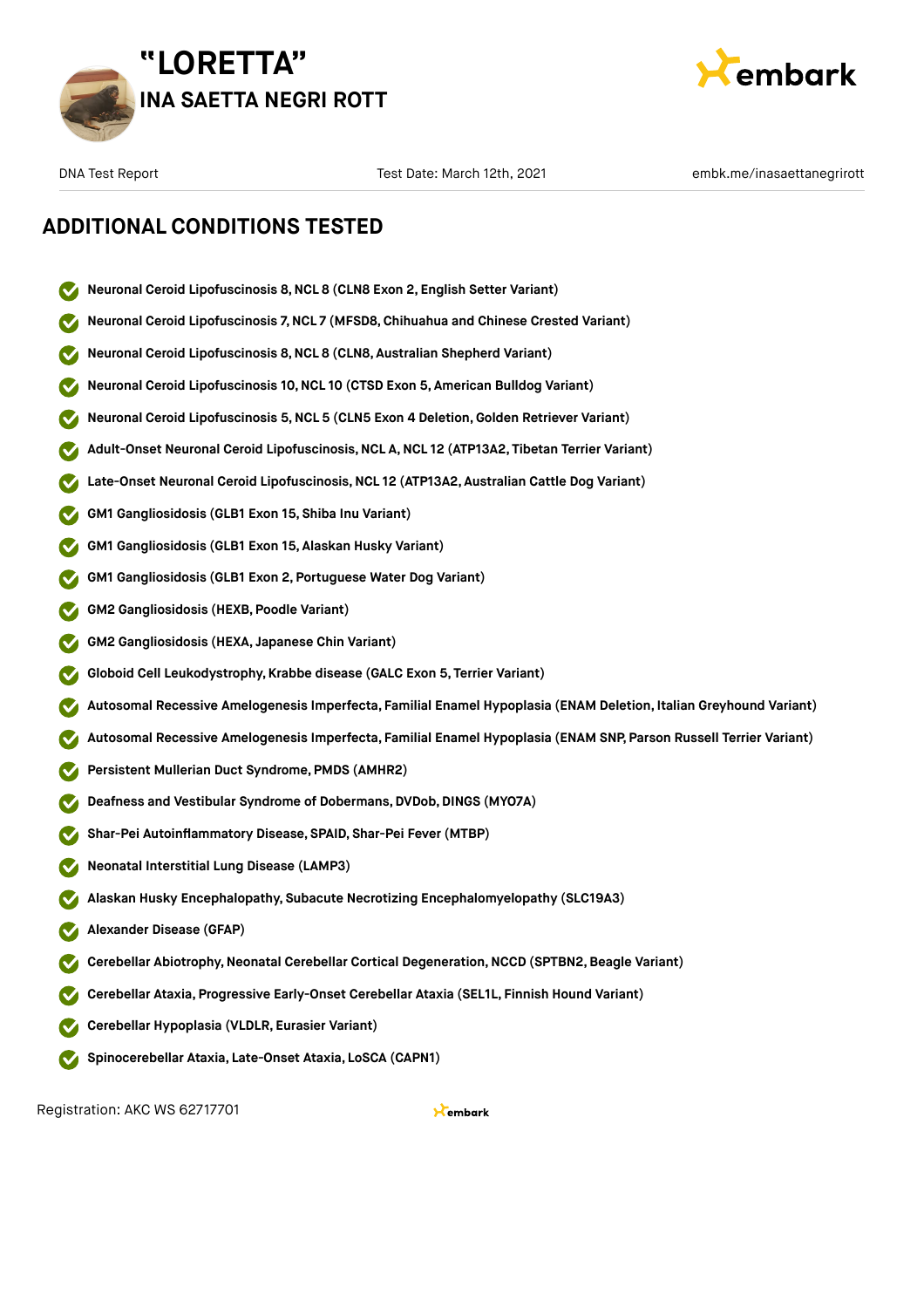



### **ADDITIONAL CONDITIONS TESTED**

- **Neuronal Ceroid Lipofuscinosis 8,NCL 8 (CLN8 Exon 2, English Setter Variant)**
- **Neuronal Ceroid Lipofuscinosis 7,NCL 7 (MFSD8,Chihuahua and Chinese Crested Variant)**
- **Neuronal Ceroid Lipofuscinosis 8,NCL 8 (CLN8, Australian Shepherd Variant)**
- **Neuronal Ceroid Lipofuscinosis 10,NCL 10 (CTSD Exon 5, American Bulldog Variant)**
- **Neuronal Ceroid Lipofuscinosis 5,NCL 5 (CLN5 Exon 4 Deletion,Golden Retriever Variant)**
- **Adult-Onset Neuronal Ceroid Lipofuscinosis,NCL A,NCL 12 (ATP13A2, Tibetan Terrier Variant)**
- **Late-Onset Neuronal Ceroid Lipofuscinosis,NCL 12 (ATP13A2, Australian Cattle Dog Variant)**
- **GM1 Gangliosidosis (GLB1 Exon 15, Shiba Inu Variant)**
- **GM1 Gangliosidosis (GLB1 Exon 15, Alaskan Husky Variant)**
- **GM1 Gangliosidosis (GLB1 Exon 2, Portuguese Water Dog Variant)**
- **GM2 Gangliosidosis (HEXB, Poodle Variant)**
- **GM2 Gangliosidosis (HEXA, Japanese Chin Variant)**
- **Globoid Cell Leukodystrophy, Krabbe disease (GALC Exon 5, Terrier Variant)**
- **Autosomal Recessive Amelogenesis Imperfecta, Familial Enamel Hypoplasia (ENAM Deletion, Italian Greyhound Variant)**
- **Autosomal Recessive Amelogenesis Imperfecta, Familial Enamel Hypoplasia (ENAM SNP, Parson Russell Terrier Variant)**
- **Persistent Mullerian Duct Syndrome, PMDS (AMHR2)**
- **Deafness and Vestibular Syndrome of Dobermans, DVDob, DINGS (MYO7A)**
- **Shar-Pei Autoinflammatory Disease, SPAID, Shar-Pei Fever (MTBP)**
- **Neonatal Interstitial Lung Disease (LAMP3)**
- **Alaskan Husky Encephalopathy, Subacute Necrotizing Encephalomyelopathy (SLC19A3)**
- **Alexander Disease (GFAP)**
- **Cerebellar Abiotrophy,Neonatal Cerebellar Cortical Degeneration,NCCD (SPTBN2,Beagle Variant)**
- **Cerebellar Ataxia, Progressive Early-Onset Cerebellar Ataxia (SEL1L, Finnish Hound Variant)**
- **Cerebellar Hypoplasia (VLDLR, Eurasier Variant)**
- **Spinocerebellar Ataxia, Late-Onset Ataxia, LoSCA (CAPN1)**

Registration: AKC WS 62717701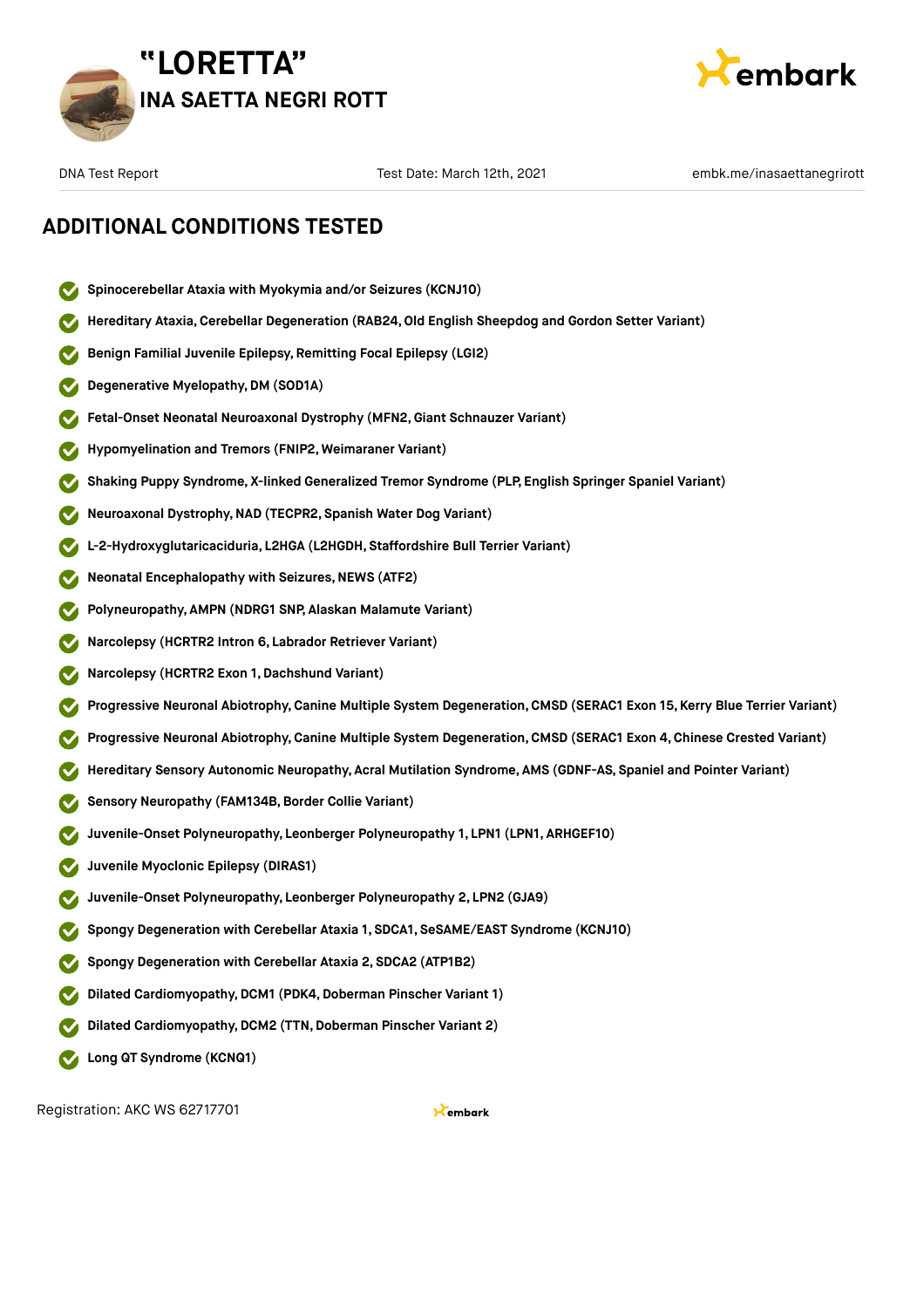



### **ADDITIONAL CONDITIONS TESTED**

**Spinocerebellar Ataxia with Myokymia and/or Seizures (KCNJ10)**

**Benign Familial Juvenile Epilepsy, Remitting Focal Epilepsy (LGI2)**

**Degenerative Myelopathy,DM (SOD1A) Fetal-Onset Neonatal Neuroaxonal Dystrophy (MFN2,Giant Schnauzer Variant) Hypomyelination and Tremors (FNIP2, Weimaraner Variant) Shaking Puppy Syndrome, X-linked Generalized Tremor Syndrome (PLP, English Springer Spaniel Variant) Neuroaxonal Dystrophy,NAD (TECPR2, Spanish Water Dog Variant) L-2-Hydroxyglutaricaciduria, L2HGA (L2HGDH, Staffordshire Bull Terrier Variant) Neonatal Encephalopathy with Seizures,NEWS (ATF2) Polyneuropathy, AMPN (NDRG1 SNP, Alaskan Malamute Variant) Narcolepsy (HCRTR2 Intron 6, Labrador Retriever Variant) Narcolepsy (HCRTR2 Exon 1,Dachshund Variant) Progressive Neuronal Abiotrophy,Canine Multiple System Degeneration,CMSD (SERAC1 Exon 15, Kerry Blue Terrier Variant) Progressive Neuronal Abiotrophy,Canine Multiple System Degeneration,CMSD (SERAC1 Exon 4, Chinese Crested Variant) Hereditary Sensory Autonomic Neuropathy, Acral Mutilation Syndrome, AMS (GDNF-AS, Spaniel and Pointer Variant) Sensory Neuropathy (FAM134B,Border Collie Variant) Juvenile-Onset Polyneuropathy, Leonberger Polyneuropathy 1, LPN1 (LPN1, ARHGEF10) Juvenile Myoclonic Epilepsy (DIRAS1) Juvenile-Onset Polyneuropathy, Leonberger Polyneuropathy 2, LPN2 (GJA9)**

**Hereditary Ataxia,Cerebellar Degeneration (RAB24,Old English Sheepdog and Gordon Setter Variant)**

- **Spongy Degeneration with Cerebellar Ataxia 1, SDCA1, SeSAME/EAST Syndrome (KCNJ10)**
- **Spongy Degeneration with Cerebellar Ataxia 2, SDCA2 (ATP1B2)**
- **Dilated Cardiomyopathy,DCM1 (PDK4,Doberman Pinscher Variant 1)**
- **Dilated Cardiomyopathy, DCM2 (TTN, Doberman Pinscher Variant 2)**
- **Long QT Syndrome (KCNQ1)**

Registration: AKC WS 62717701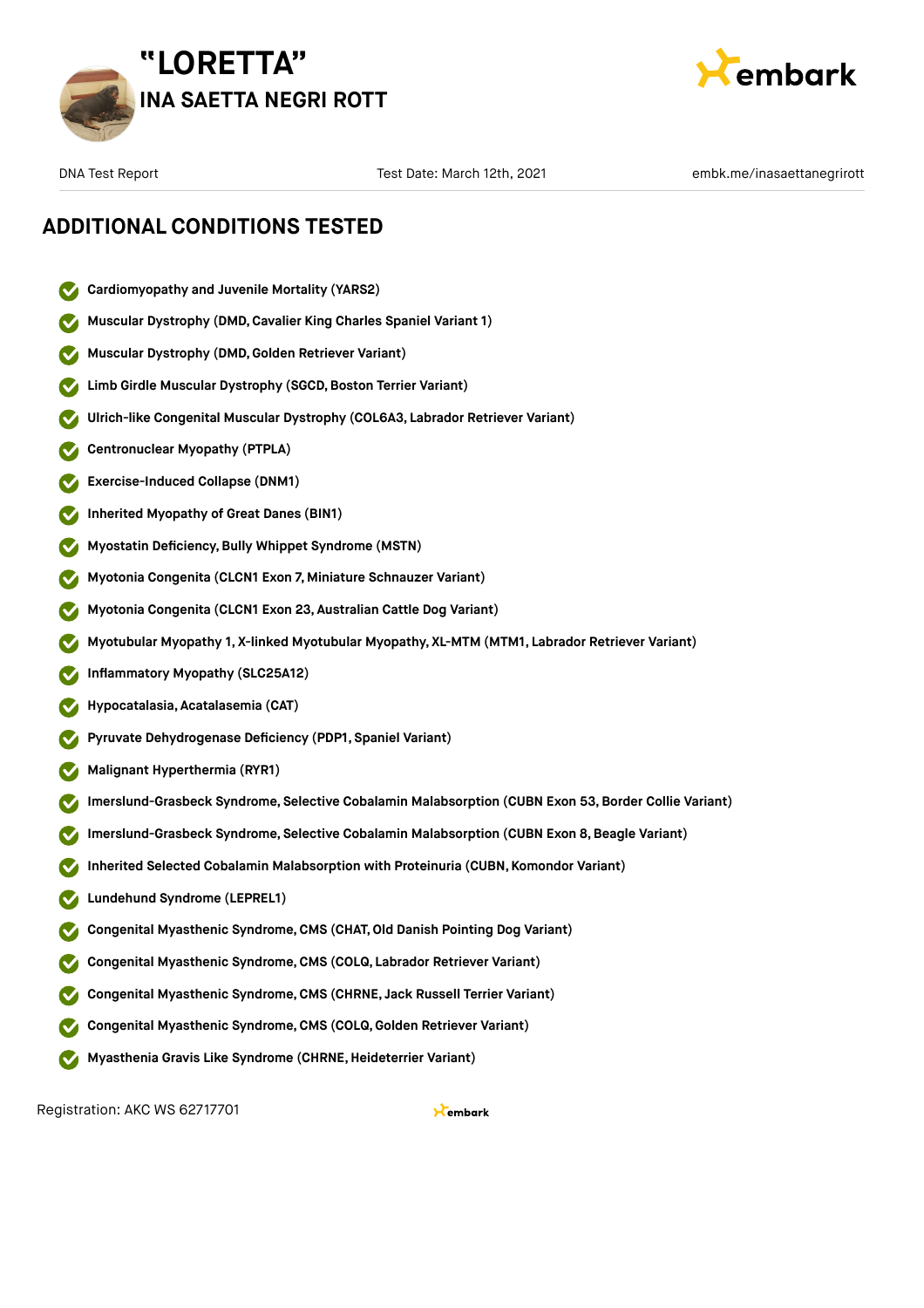



### **ADDITIONAL CONDITIONS TESTED**

- **Cardiomyopathy and Juvenile Mortality (YARS2)**
- **Muscular Dystrophy (DMD,Cavalier King Charles Spaniel Variant 1)**
- **Muscular Dystrophy (DMD,Golden Retriever Variant)**
- **Limb Girdle Muscular Dystrophy** (SGCD, Boston Terrier Variant)
- **Ulrich-like Congenital Muscular Dystrophy (COL6A3, Labrador Retriever Variant)**
- **Centronuclear Myopathy (PTPLA)**
- **Exercise-Induced Collapse (DNM1)**
- **Inherited Myopathy of Great Danes (BIN1)**
- **Myostatin Deficiency,Bully Whippet Syndrome (MSTN)**
- **Myotonia Congenita (CLCN1 Exon 7, Miniature Schnauzer Variant)**
- **Myotonia Congenita (CLCN1 Exon 23, Australian Cattle Dog Variant)**
- **Myotubular Myopathy 1, X-linked Myotubular Myopathy, XL-MTM (MTM1, Labrador Retriever Variant)**
- **Inflammatory Myopathy (SLC25A12)**
- **Hypocatalasia, Acatalasemia (CAT)**
- **Pyruvate Dehydrogenase Deficiency (PDP1, Spaniel Variant)**
- **Malignant Hyperthermia (RYR1)**
- **Imerslund-Grasbeck Syndrome, Selective Cobalamin Malabsorption (CUBN Exon 53,Border Collie Variant)**
- **Imerslund-Grasbeck Syndrome, Selective Cobalamin Malabsorption (CUBN Exon 8,Beagle Variant)**
- **Inherited Selected Cobalamin Malabsorption with Proteinuria (CUBN, Komondor Variant)**
- **Lundehund Syndrome (LEPREL1)**
- **Congenital Myasthenic Syndrome,CMS (CHAT,Old Danish Pointing Dog Variant)**
- **Congenital Myasthenic Syndrome,CMS (COLQ, Labrador Retriever Variant)**
- **Congenital Myasthenic Syndrome,CMS (CHRNE, Jack Russell Terrier Variant)**
- **Congenital Myasthenic Syndrome,CMS (COLQ, Golden Retriever Variant)**
- **Myasthenia Gravis Like Syndrome (CHRNE,Heideterrier Variant)**

Registration: AKC WS 62717701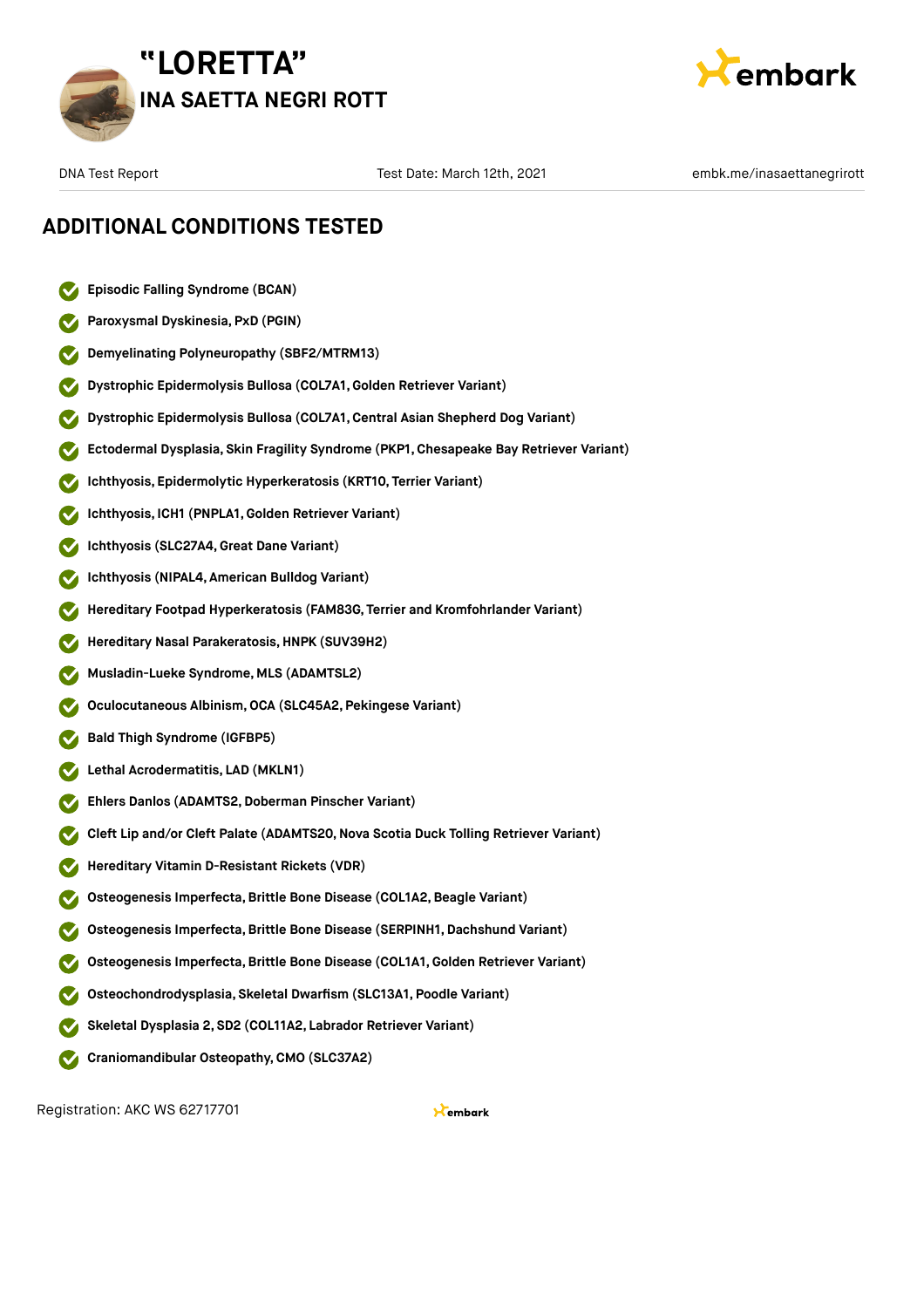



### **ADDITIONAL CONDITIONS TESTED**

|  |  |  | Episodic Falling Syndrome (BCAN) |  |
|--|--|--|----------------------------------|--|
|--|--|--|----------------------------------|--|

- **Paroxysmal Dyskinesia, PxD (PGIN)**
- **Demyelinating Polyneuropathy (SBF2/MTRM13)**
- **Dystrophic Epidermolysis Bullosa (COL7A1,Golden Retriever Variant)**
- **Dystrophic Epidermolysis Bullosa (COL7A1,Central Asian Shepherd Dog Variant)**
- **Ectodermal Dysplasia, Skin Fragility Syndrome (PKP1, Chesapeake Bay Retriever Variant)**
- **Ichthyosis, Epidermolytic Hyperkeratosis (KRT10, Terrier Variant)**
- **Ichthyosis, ICH1 (PNPLA1,Golden Retriever Variant)**
- **Ichthyosis (SLC27A4,Great Dane Variant)**
- **Ichthyosis (NIPAL4, American Bulldog Variant)**
- **Hereditary Footpad Hyperkeratosis (FAM83G, Terrier and Kromfohrlander Variant)**
- **Hereditary Nasal Parakeratosis,HNPK (SUV39H2)**
- **Musladin-Lueke Syndrome, MLS (ADAMTSL2)**
- **Oculocutaneous Albinism,OCA (SLC45A2, Pekingese Variant)**
- **Bald Thigh Syndrome (IGFBP5)**
- **Lethal Acrodermatitis, LAD (MKLN1)**
- **Ehlers Danlos (ADAMTS2, Doberman Pinscher Variant)**
- **Cleft Lip and/or Cleft Palate (ADAMTS20,Nova Scotia Duck Tolling Retriever Variant)**
- **Hereditary Vitamin D-Resistant Rickets (VDR)**
- **Osteogenesis Imperfecta,Brittle Bone Disease (COL1A2,Beagle Variant)**
- **Osteogenesis Imperfecta,Brittle Bone Disease (SERPINH1, Dachshund Variant)**
- **Osteogenesis Imperfecta,Brittle Bone Disease (COL1A1,Golden Retriever Variant)**
- **Osteochondrodysplasia, Skeletal Dwarfism (SLC13A1, Poodle Variant)**
- **Skeletal Dysplasia 2, SD2 (COL11A2, Labrador Retriever Variant)**
- **Craniomandibular Osteopathy,CMO (SLC37A2)**

Registration: AKC WS 62717701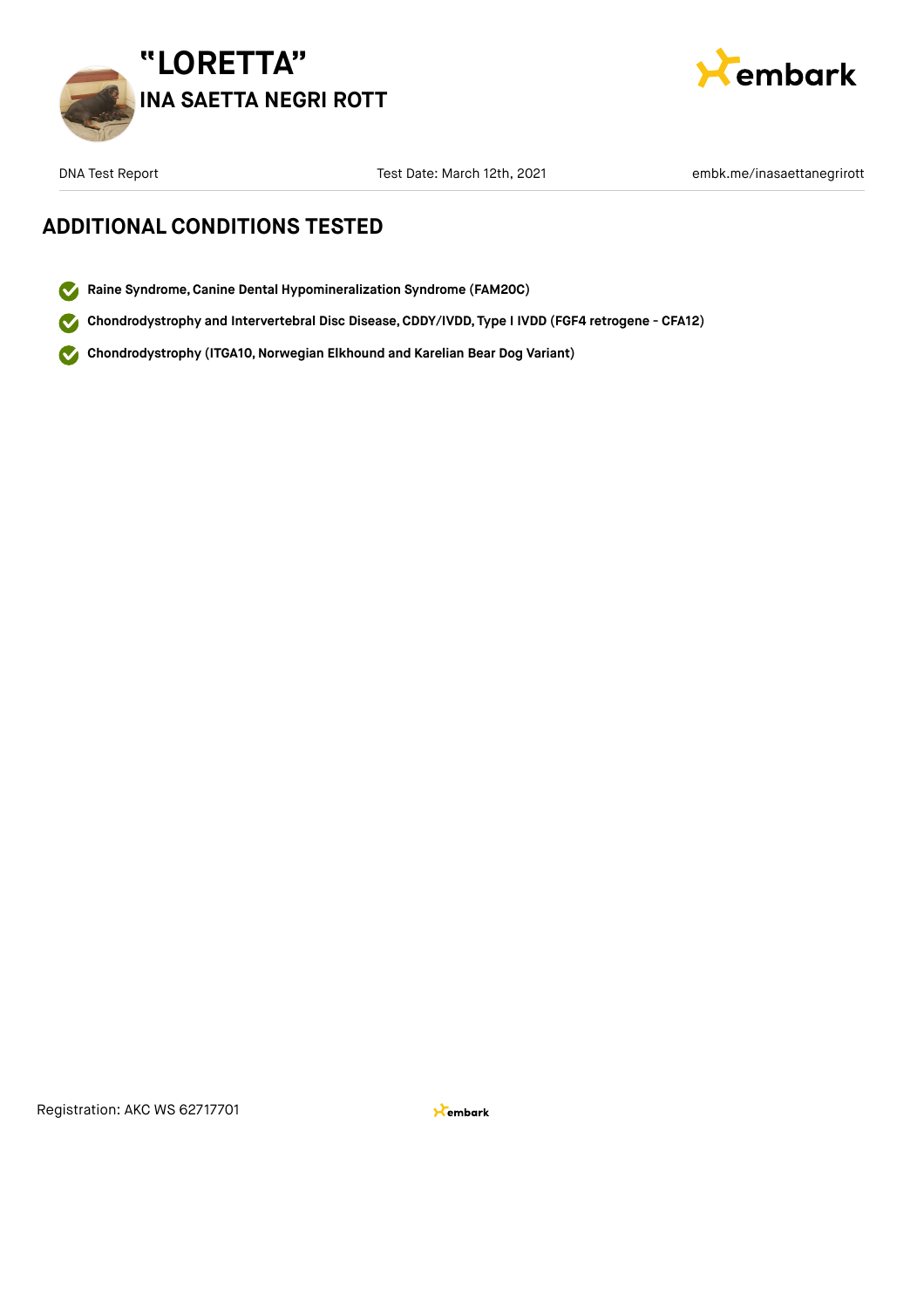



DNA Test Date: March 12th, 2021 embk.me/inasaettanegrirott Test Date: March 12th, 2021

### **ADDITIONAL CONDITIONS TESTED**

- **Raine Syndrome,Canine Dental Hypomineralization Syndrome (FAM20C)**
- **Chondrodystrophy and Intervertebral Disc Disease,CDDY/IVDD, Type I IVDD (FGF4 retrogene CFA12)**
- **Chondrodystrophy (ITGA10,Norwegian Elkhound and Karelian Bear Dog Variant)**  $\mathbf{z}$